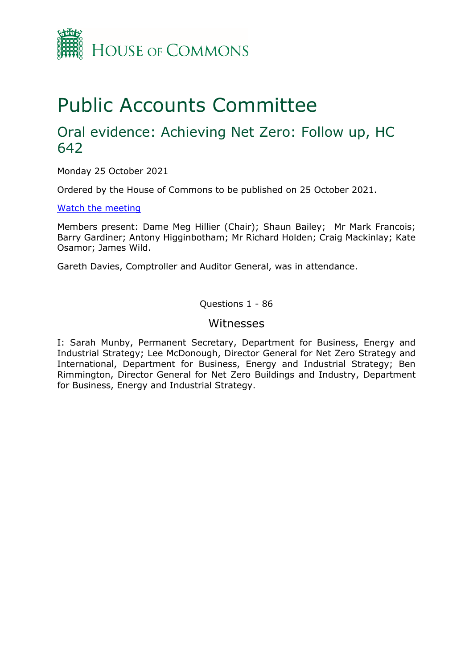

# Public Accounts Committee

## Oral evidence: Achieving Net Zero: Follow up, HC 642

Monday 25 October 2021

Ordered by the House of Commons to be published on 25 October 2021.

[Watch the meeting](https://parliamentlive.tv/event/index/e7153087-35c9-44c4-8d7f-6522b4acf8e1?in=16:02:13)

Members present: Dame Meg Hillier (Chair); Shaun Bailey; Mr Mark Francois; Barry Gardiner; Antony Higginbotham; Mr Richard Holden; Craig Mackinlay; Kate Osamor; James Wild.

Gareth Davies, Comptroller and Auditor General, was in attendance.

Questions 1 - 86

#### Witnesses

I: Sarah Munby, Permanent Secretary, Department for Business, Energy and Industrial Strategy; Lee McDonough, Director General for Net Zero Strategy and International, Department for Business, Energy and Industrial Strategy; Ben Rimmington, Director General for Net Zero Buildings and Industry, Department for Business, Energy and Industrial Strategy.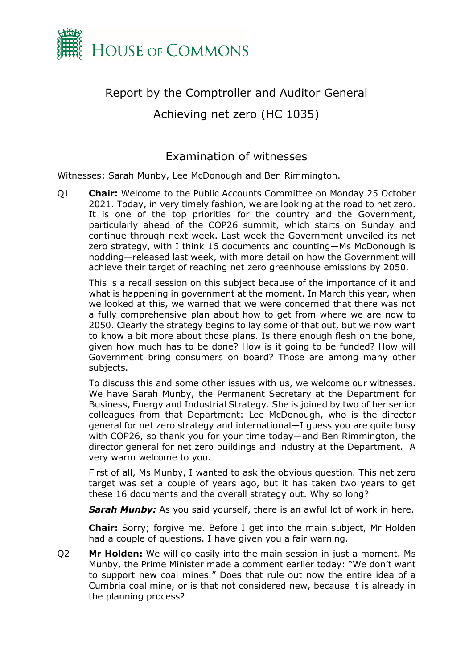

## Report by the Comptroller and Auditor General

Achieving net zero (HC 1035)

### Examination of witnesses

Witnesses: Sarah Munby, Lee McDonough and Ben Rimmington.

Q1 **Chair:** Welcome to the Public Accounts Committee on Monday 25 October 2021. Today, in very timely fashion, we are looking at the road to net zero. It is one of the top priorities for the country and the Government, particularly ahead of the COP26 summit, which starts on Sunday and continue through next week. Last week the Government unveiled its net zero strategy, with I think 16 documents and counting—Ms McDonough is nodding—released last week, with more detail on how the Government will achieve their target of reaching net zero greenhouse emissions by 2050.

This is a recall session on this subject because of the importance of it and what is happening in government at the moment. In March this year, when we looked at this, we warned that we were concerned that there was not a fully comprehensive plan about how to get from where we are now to 2050. Clearly the strategy begins to lay some of that out, but we now want to know a bit more about those plans. Is there enough flesh on the bone, given how much has to be done? How is it going to be funded? How will Government bring consumers on board? Those are among many other subjects.

To discuss this and some other issues with us, we welcome our witnesses. We have Sarah Munby, the Permanent Secretary at the Department for Business, Energy and Industrial Strategy. She is joined by two of her senior colleagues from that Department: Lee McDonough, who is the director general for net zero strategy and international—I guess you are quite busy with COP26, so thank you for your time today—and Ben Rimmington, the director general for net zero buildings and industry at the Department. A very warm welcome to you.

First of all, Ms Munby, I wanted to ask the obvious question. This net zero target was set a couple of years ago, but it has taken two years to get these 16 documents and the overall strategy out. Why so long?

**Sarah Munby:** As you said yourself, there is an awful lot of work in here.

**Chair:** Sorry; forgive me. Before I get into the main subject, Mr Holden had a couple of questions. I have given you a fair warning.

Q2 **Mr Holden:** We will go easily into the main session in just a moment. Ms Munby, the Prime Minister made a comment earlier today: "We don't want to support new coal mines." Does that rule out now the entire idea of a Cumbria coal mine, or is that not considered new, because it is already in the planning process?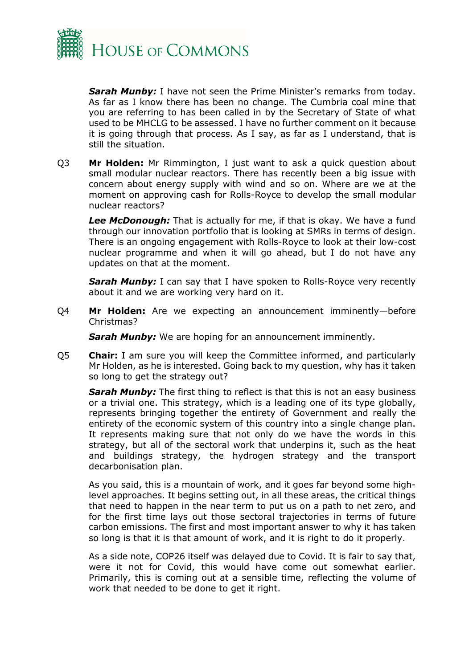

*Sarah Munby:* I have not seen the Prime Minister's remarks from today. As far as I know there has been no change. The Cumbria coal mine that you are referring to has been called in by the Secretary of State of what used to be MHCLG to be assessed. I have no further comment on it because it is going through that process. As I say, as far as I understand, that is still the situation.

Q3 **Mr Holden:** Mr Rimmington, I just want to ask a quick question about small modular nuclear reactors. There has recently been a big issue with concern about energy supply with wind and so on. Where are we at the moment on approving cash for Rolls-Royce to develop the small modular nuclear reactors?

*Lee McDonough:* That is actually for me, if that is okay. We have a fund through our innovation portfolio that is looking at SMRs in terms of design. There is an ongoing engagement with Rolls-Royce to look at their low-cost nuclear programme and when it will go ahead, but I do not have any updates on that at the moment.

**Sarah Munby:** I can say that I have spoken to Rolls-Royce very recently about it and we are working very hard on it.

Q4 **Mr Holden:** Are we expecting an announcement imminently—before Christmas?

**Sarah Munby:** We are hoping for an announcement imminently.

Q5 **Chair:** I am sure you will keep the Committee informed, and particularly Mr Holden, as he is interested. Going back to my question, why has it taken so long to get the strategy out?

*Sarah Munby:* The first thing to reflect is that this is not an easy business or a trivial one. This strategy, which is a leading one of its type globally, represents bringing together the entirety of Government and really the entirety of the economic system of this country into a single change plan. It represents making sure that not only do we have the words in this strategy, but all of the sectoral work that underpins it, such as the heat and buildings strategy, the hydrogen strategy and the transport decarbonisation plan.

As you said, this is a mountain of work, and it goes far beyond some highlevel approaches. It begins setting out, in all these areas, the critical things that need to happen in the near term to put us on a path to net zero, and for the first time lays out those sectoral trajectories in terms of future carbon emissions. The first and most important answer to why it has taken so long is that it is that amount of work, and it is right to do it properly.

As a side note, COP26 itself was delayed due to Covid. It is fair to say that, were it not for Covid, this would have come out somewhat earlier. Primarily, this is coming out at a sensible time, reflecting the volume of work that needed to be done to get it right.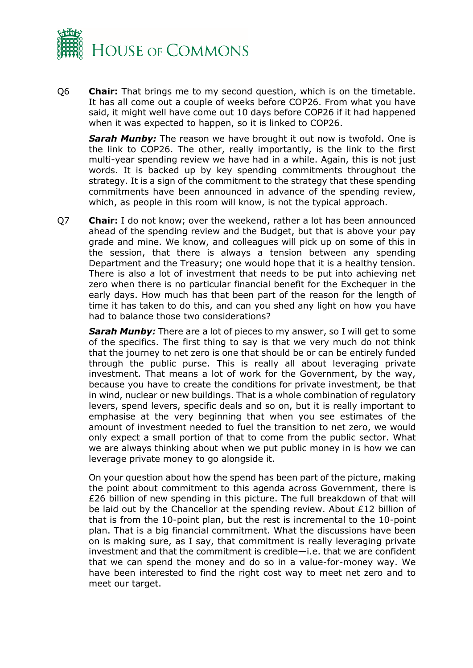

Q6 **Chair:** That brings me to my second question, which is on the timetable. It has all come out a couple of weeks before COP26. From what you have said, it might well have come out 10 days before COP26 if it had happened when it was expected to happen, so it is linked to COP26.

**Sarah Munby:** The reason we have brought it out now is twofold. One is the link to COP26. The other, really importantly, is the link to the first multi-year spending review we have had in a while. Again, this is not just words. It is backed up by key spending commitments throughout the strategy. It is a sign of the commitment to the strategy that these spending commitments have been announced in advance of the spending review, which, as people in this room will know, is not the typical approach.

Q7 **Chair:** I do not know; over the weekend, rather a lot has been announced ahead of the spending review and the Budget, but that is above your pay grade and mine. We know, and colleagues will pick up on some of this in the session, that there is always a tension between any spending Department and the Treasury; one would hope that it is a healthy tension. There is also a lot of investment that needs to be put into achieving net zero when there is no particular financial benefit for the Exchequer in the early days. How much has that been part of the reason for the length of time it has taken to do this, and can you shed any light on how you have had to balance those two considerations?

**Sarah Munby:** There are a lot of pieces to my answer, so I will get to some of the specifics. The first thing to say is that we very much do not think that the journey to net zero is one that should be or can be entirely funded through the public purse. This is really all about leveraging private investment. That means a lot of work for the Government, by the way, because you have to create the conditions for private investment, be that in wind, nuclear or new buildings. That is a whole combination of regulatory levers, spend levers, specific deals and so on, but it is really important to emphasise at the very beginning that when you see estimates of the amount of investment needed to fuel the transition to net zero, we would only expect a small portion of that to come from the public sector. What we are always thinking about when we put public money in is how we can leverage private money to go alongside it.

On your question about how the spend has been part of the picture, making the point about commitment to this agenda across Government, there is £26 billion of new spending in this picture. The full breakdown of that will be laid out by the Chancellor at the spending review. About £12 billion of that is from the 10-point plan, but the rest is incremental to the 10-point plan. That is a big financial commitment. What the discussions have been on is making sure, as I say, that commitment is really leveraging private investment and that the commitment is credible—i.e. that we are confident that we can spend the money and do so in a value-for-money way. We have been interested to find the right cost way to meet net zero and to meet our target.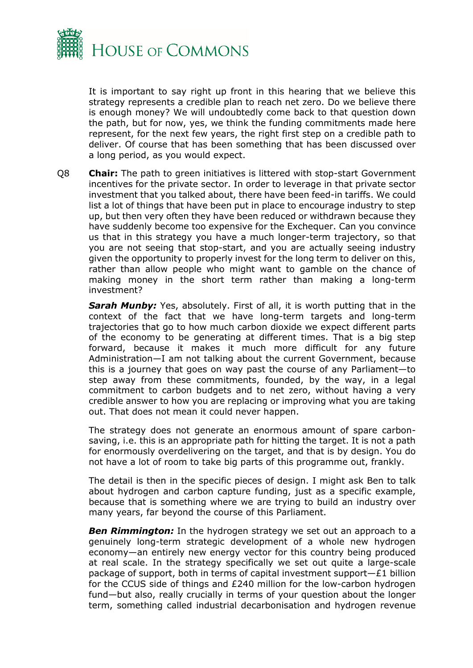

It is important to say right up front in this hearing that we believe this strategy represents a credible plan to reach net zero. Do we believe there is enough money? We will undoubtedly come back to that question down the path, but for now, yes, we think the funding commitments made here represent, for the next few years, the right first step on a credible path to deliver. Of course that has been something that has been discussed over a long period, as you would expect.

Q8 **Chair:** The path to green initiatives is littered with stop-start Government incentives for the private sector. In order to leverage in that private sector investment that you talked about, there have been feed-in tariffs. We could list a lot of things that have been put in place to encourage industry to step up, but then very often they have been reduced or withdrawn because they have suddenly become too expensive for the Exchequer. Can you convince us that in this strategy you have a much longer-term trajectory, so that you are not seeing that stop-start, and you are actually seeing industry given the opportunity to properly invest for the long term to deliver on this, rather than allow people who might want to gamble on the chance of making money in the short term rather than making a long-term investment?

**Sarah Munby:** Yes, absolutely. First of all, it is worth putting that in the context of the fact that we have long-term targets and long-term trajectories that go to how much carbon dioxide we expect different parts of the economy to be generating at different times. That is a big step forward, because it makes it much more difficult for any future Administration—I am not talking about the current Government, because this is a journey that goes on way past the course of any Parliament—to step away from these commitments, founded, by the way, in a legal commitment to carbon budgets and to net zero, without having a very credible answer to how you are replacing or improving what you are taking out. That does not mean it could never happen.

The strategy does not generate an enormous amount of spare carbonsaving, i.e. this is an appropriate path for hitting the target. It is not a path for enormously overdelivering on the target, and that is by design. You do not have a lot of room to take big parts of this programme out, frankly.

The detail is then in the specific pieces of design. I might ask Ben to talk about hydrogen and carbon capture funding, just as a specific example, because that is something where we are trying to build an industry over many years, far beyond the course of this Parliament.

*Ben Rimmington:* In the hydrogen strategy we set out an approach to a genuinely long-term strategic development of a whole new hydrogen economy—an entirely new energy vector for this country being produced at real scale. In the strategy specifically we set out quite a large-scale package of support, both in terms of capital investment support—£1 billion for the CCUS side of things and £240 million for the low-carbon hydrogen fund—but also, really crucially in terms of your question about the longer term, something called industrial decarbonisation and hydrogen revenue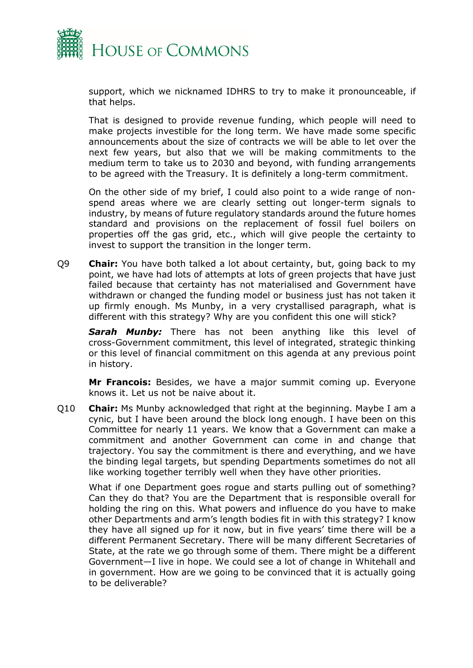

support, which we nicknamed IDHRS to try to make it pronounceable, if that helps.

That is designed to provide revenue funding, which people will need to make projects investible for the long term. We have made some specific announcements about the size of contracts we will be able to let over the next few years, but also that we will be making commitments to the medium term to take us to 2030 and beyond, with funding arrangements to be agreed with the Treasury. It is definitely a long-term commitment.

On the other side of my brief, I could also point to a wide range of nonspend areas where we are clearly setting out longer-term signals to industry, by means of future regulatory standards around the future homes standard and provisions on the replacement of fossil fuel boilers on properties off the gas grid, etc., which will give people the certainty to invest to support the transition in the longer term.

Q9 **Chair:** You have both talked a lot about certainty, but, going back to my point, we have had lots of attempts at lots of green projects that have just failed because that certainty has not materialised and Government have withdrawn or changed the funding model or business just has not taken it up firmly enough. Ms Munby, in a very crystallised paragraph, what is different with this strategy? Why are you confident this one will stick?

**Sarah Munby:** There has not been anything like this level of cross-Government commitment, this level of integrated, strategic thinking or this level of financial commitment on this agenda at any previous point in history.

**Mr Francois:** Besides, we have a major summit coming up. Everyone knows it. Let us not be naive about it.

Q10 **Chair:** Ms Munby acknowledged that right at the beginning. Maybe I am a cynic, but I have been around the block long enough. I have been on this Committee for nearly 11 years. We know that a Government can make a commitment and another Government can come in and change that trajectory. You say the commitment is there and everything, and we have the binding legal targets, but spending Departments sometimes do not all like working together terribly well when they have other priorities.

What if one Department goes rogue and starts pulling out of something? Can they do that? You are the Department that is responsible overall for holding the ring on this. What powers and influence do you have to make other Departments and arm's length bodies fit in with this strategy? I know they have all signed up for it now, but in five years' time there will be a different Permanent Secretary. There will be many different Secretaries of State, at the rate we go through some of them. There might be a different Government—I live in hope. We could see a lot of change in Whitehall and in government. How are we going to be convinced that it is actually going to be deliverable?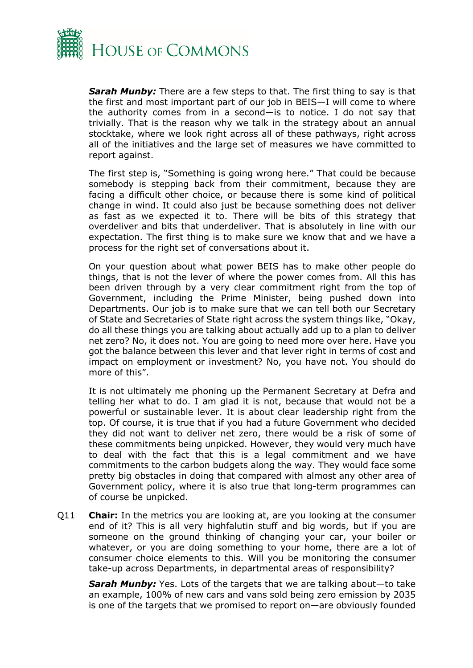

**Sarah Munby:** There are a few steps to that. The first thing to say is that the first and most important part of our job in BEIS—I will come to where the authority comes from in a second—is to notice. I do not say that trivially. That is the reason why we talk in the strategy about an annual stocktake, where we look right across all of these pathways, right across all of the initiatives and the large set of measures we have committed to report against.

The first step is, "Something is going wrong here." That could be because somebody is stepping back from their commitment, because they are facing a difficult other choice, or because there is some kind of political change in wind. It could also just be because something does not deliver as fast as we expected it to. There will be bits of this strategy that overdeliver and bits that underdeliver. That is absolutely in line with our expectation. The first thing is to make sure we know that and we have a process for the right set of conversations about it.

On your question about what power BEIS has to make other people do things, that is not the lever of where the power comes from. All this has been driven through by a very clear commitment right from the top of Government, including the Prime Minister, being pushed down into Departments. Our job is to make sure that we can tell both our Secretary of State and Secretaries of State right across the system things like, "Okay, do all these things you are talking about actually add up to a plan to deliver net zero? No, it does not. You are going to need more over here. Have you got the balance between this lever and that lever right in terms of cost and impact on employment or investment? No, you have not. You should do more of this".

It is not ultimately me phoning up the Permanent Secretary at Defra and telling her what to do. I am glad it is not, because that would not be a powerful or sustainable lever. It is about clear leadership right from the top. Of course, it is true that if you had a future Government who decided they did not want to deliver net zero, there would be a risk of some of these commitments being unpicked. However, they would very much have to deal with the fact that this is a legal commitment and we have commitments to the carbon budgets along the way. They would face some pretty big obstacles in doing that compared with almost any other area of Government policy, where it is also true that long-term programmes can of course be unpicked.

Q11 **Chair:** In the metrics you are looking at, are you looking at the consumer end of it? This is all very highfalutin stuff and big words, but if you are someone on the ground thinking of changing your car, your boiler or whatever, or you are doing something to your home, there are a lot of consumer choice elements to this. Will you be monitoring the consumer take-up across Departments, in departmental areas of responsibility?

*Sarah Munby:* Yes. Lots of the targets that we are talking about—to take an example, 100% of new cars and vans sold being zero emission by 2035 is one of the targets that we promised to report on—are obviously founded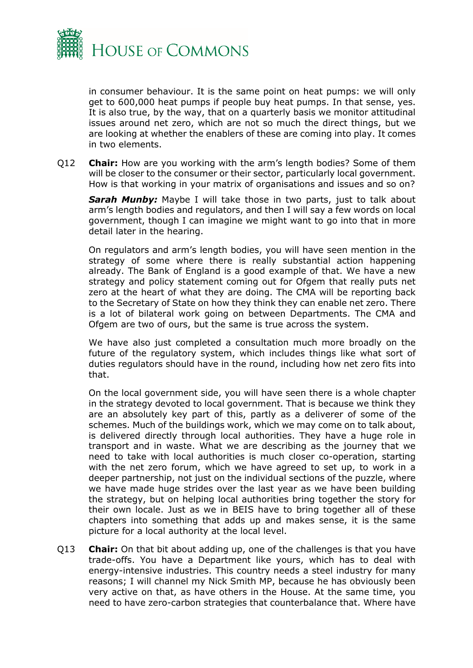

in consumer behaviour. It is the same point on heat pumps: we will only get to 600,000 heat pumps if people buy heat pumps. In that sense, yes. It is also true, by the way, that on a quarterly basis we monitor attitudinal issues around net zero, which are not so much the direct things, but we are looking at whether the enablers of these are coming into play. It comes in two elements.

Q12 **Chair:** How are you working with the arm's length bodies? Some of them will be closer to the consumer or their sector, particularly local government. How is that working in your matrix of organisations and issues and so on?

**Sarah Munby:** Maybe I will take those in two parts, just to talk about arm's length bodies and regulators, and then I will say a few words on local government, though I can imagine we might want to go into that in more detail later in the hearing.

On regulators and arm's length bodies, you will have seen mention in the strategy of some where there is really substantial action happening already. The Bank of England is a good example of that. We have a new strategy and policy statement coming out for Ofgem that really puts net zero at the heart of what they are doing. The CMA will be reporting back to the Secretary of State on how they think they can enable net zero. There is a lot of bilateral work going on between Departments. The CMA and Ofgem are two of ours, but the same is true across the system.

We have also just completed a consultation much more broadly on the future of the regulatory system, which includes things like what sort of duties regulators should have in the round, including how net zero fits into that.

On the local government side, you will have seen there is a whole chapter in the strategy devoted to local government. That is because we think they are an absolutely key part of this, partly as a deliverer of some of the schemes. Much of the buildings work, which we may come on to talk about, is delivered directly through local authorities. They have a huge role in transport and in waste. What we are describing as the journey that we need to take with local authorities is much closer co-operation, starting with the net zero forum, which we have agreed to set up, to work in a deeper partnership, not just on the individual sections of the puzzle, where we have made huge strides over the last year as we have been building the strategy, but on helping local authorities bring together the story for their own locale. Just as we in BEIS have to bring together all of these chapters into something that adds up and makes sense, it is the same picture for a local authority at the local level.

Q13 **Chair:** On that bit about adding up, one of the challenges is that you have trade-offs. You have a Department like yours, which has to deal with energy-intensive industries. This country needs a steel industry for many reasons; I will channel my Nick Smith MP, because he has obviously been very active on that, as have others in the House. At the same time, you need to have zero-carbon strategies that counterbalance that. Where have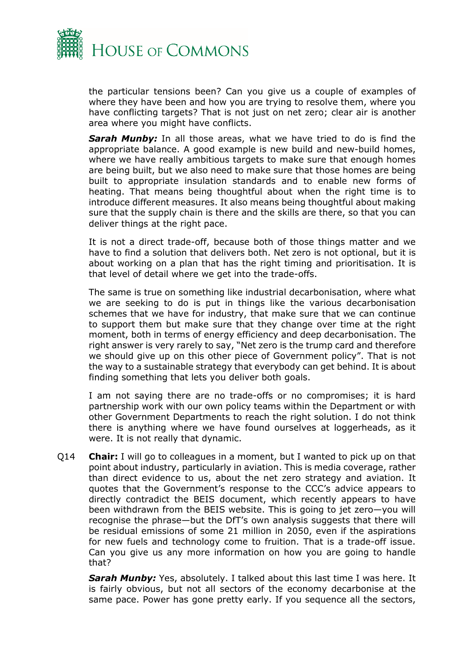

the particular tensions been? Can you give us a couple of examples of where they have been and how you are trying to resolve them, where you have conflicting targets? That is not just on net zero; clear air is another area where you might have conflicts.

**Sarah Munby:** In all those areas, what we have tried to do is find the appropriate balance. A good example is new build and new-build homes, where we have really ambitious targets to make sure that enough homes are being built, but we also need to make sure that those homes are being built to appropriate insulation standards and to enable new forms of heating. That means being thoughtful about when the right time is to introduce different measures. It also means being thoughtful about making sure that the supply chain is there and the skills are there, so that you can deliver things at the right pace.

It is not a direct trade-off, because both of those things matter and we have to find a solution that delivers both. Net zero is not optional, but it is about working on a plan that has the right timing and prioritisation. It is that level of detail where we get into the trade-offs.

The same is true on something like industrial decarbonisation, where what we are seeking to do is put in things like the various decarbonisation schemes that we have for industry, that make sure that we can continue to support them but make sure that they change over time at the right moment, both in terms of energy efficiency and deep decarbonisation. The right answer is very rarely to say, "Net zero is the trump card and therefore we should give up on this other piece of Government policy". That is not the way to a sustainable strategy that everybody can get behind. It is about finding something that lets you deliver both goals.

I am not saying there are no trade-offs or no compromises; it is hard partnership work with our own policy teams within the Department or with other Government Departments to reach the right solution. I do not think there is anything where we have found ourselves at loggerheads, as it were. It is not really that dynamic.

Q14 **Chair:** I will go to colleagues in a moment, but I wanted to pick up on that point about industry, particularly in aviation. This is media coverage, rather than direct evidence to us, about the net zero strategy and aviation. It quotes that the Government's response to the CCC's advice appears to directly contradict the BEIS document, which recently appears to have been withdrawn from the BEIS website. This is going to jet zero—you will recognise the phrase—but the DfT's own analysis suggests that there will be residual emissions of some 21 million in 2050, even if the aspirations for new fuels and technology come to fruition. That is a trade-off issue. Can you give us any more information on how you are going to handle that?

*Sarah Munby:* Yes, absolutely. I talked about this last time I was here. It is fairly obvious, but not all sectors of the economy decarbonise at the same pace. Power has gone pretty early. If you sequence all the sectors,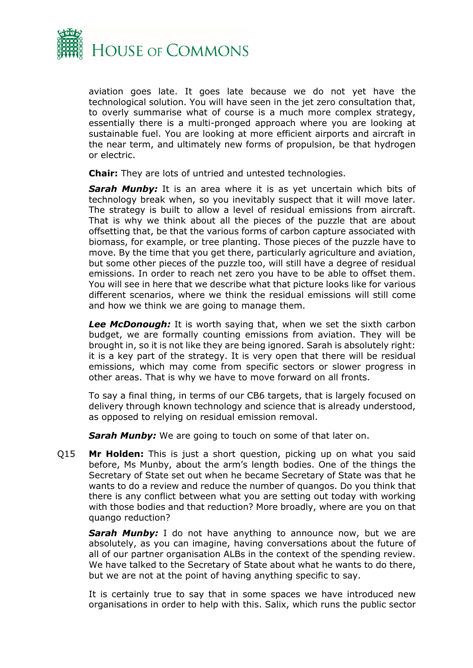

aviation goes late. It goes late because we do not yet have the technological solution. You will have seen in the jet zero consultation that, to overly summarise what of course is a much more complex strategy, essentially there is a multi-pronged approach where you are looking at sustainable fuel. You are looking at more efficient airports and aircraft in the near term, and ultimately new forms of propulsion, be that hydrogen or electric.

**Chair:** They are lots of untried and untested technologies.

*Sarah Munby:* It is an area where it is as yet uncertain which bits of technology break when, so you inevitably suspect that it will move later. The strategy is built to allow a level of residual emissions from aircraft. That is why we think about all the pieces of the puzzle that are about offsetting that, be that the various forms of carbon capture associated with biomass, for example, or tree planting. Those pieces of the puzzle have to move. By the time that you get there, particularly agriculture and aviation, but some other pieces of the puzzle too, will still have a degree of residual emissions. In order to reach net zero you have to be able to offset them. You will see in here that we describe what that picture looks like for various different scenarios, where we think the residual emissions will still come and how we think we are going to manage them.

*Lee McDonough:* It is worth saying that, when we set the sixth carbon budget, we are formally counting emissions from aviation. They will be brought in, so it is not like they are being ignored. Sarah is absolutely right: it is a key part of the strategy. It is very open that there will be residual emissions, which may come from specific sectors or slower progress in other areas. That is why we have to move forward on all fronts.

To say a final thing, in terms of our CB6 targets, that is largely focused on delivery through known technology and science that is already understood, as opposed to relying on residual emission removal.

**Sarah Munby:** We are going to touch on some of that later on.

Q15 **Mr Holden:** This is just a short question, picking up on what you said before, Ms Munby, about the arm's length bodies. One of the things the Secretary of State set out when he became Secretary of State was that he wants to do a review and reduce the number of quangos. Do you think that there is any conflict between what you are setting out today with working with those bodies and that reduction? More broadly, where are you on that quango reduction?

**Sarah Munby:** I do not have anything to announce now, but we are absolutely, as you can imagine, having conversations about the future of all of our partner organisation ALBs in the context of the spending review. We have talked to the Secretary of State about what he wants to do there, but we are not at the point of having anything specific to say.

It is certainly true to say that in some spaces we have introduced new organisations in order to help with this. Salix, which runs the public sector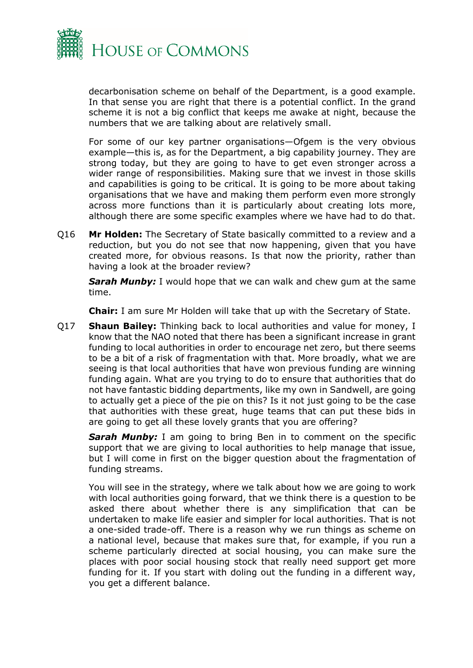

decarbonisation scheme on behalf of the Department, is a good example. In that sense you are right that there is a potential conflict. In the grand scheme it is not a big conflict that keeps me awake at night, because the numbers that we are talking about are relatively small.

For some of our key partner organisations—Ofgem is the very obvious example—this is, as for the Department, a big capability journey. They are strong today, but they are going to have to get even stronger across a wider range of responsibilities. Making sure that we invest in those skills and capabilities is going to be critical. It is going to be more about taking organisations that we have and making them perform even more strongly across more functions than it is particularly about creating lots more, although there are some specific examples where we have had to do that.

Q16 **Mr Holden:** The Secretary of State basically committed to a review and a reduction, but you do not see that now happening, given that you have created more, for obvious reasons. Is that now the priority, rather than having a look at the broader review?

**Sarah Munby:** I would hope that we can walk and chew gum at the same time.

**Chair:** I am sure Mr Holden will take that up with the Secretary of State.

Q17 **Shaun Bailey:** Thinking back to local authorities and value for money, I know that the NAO noted that there has been a significant increase in grant funding to local authorities in order to encourage net zero, but there seems to be a bit of a risk of fragmentation with that. More broadly, what we are seeing is that local authorities that have won previous funding are winning funding again. What are you trying to do to ensure that authorities that do not have fantastic bidding departments, like my own in Sandwell, are going to actually get a piece of the pie on this? Is it not just going to be the case that authorities with these great, huge teams that can put these bids in are going to get all these lovely grants that you are offering?

**Sarah Munby:** I am going to bring Ben in to comment on the specific support that we are giving to local authorities to help manage that issue, but I will come in first on the bigger question about the fragmentation of funding streams.

You will see in the strategy, where we talk about how we are going to work with local authorities going forward, that we think there is a question to be asked there about whether there is any simplification that can be undertaken to make life easier and simpler for local authorities. That is not a one-sided trade-off. There is a reason why we run things as scheme on a national level, because that makes sure that, for example, if you run a scheme particularly directed at social housing, you can make sure the places with poor social housing stock that really need support get more funding for it. If you start with doling out the funding in a different way, you get a different balance.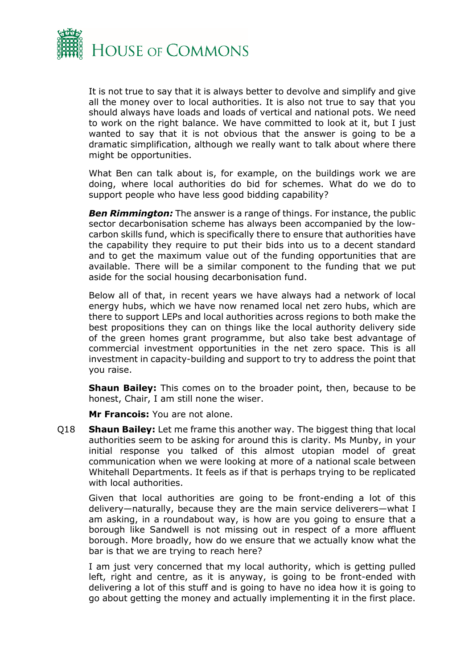

It is not true to say that it is always better to devolve and simplify and give all the money over to local authorities. It is also not true to say that you should always have loads and loads of vertical and national pots. We need to work on the right balance. We have committed to look at it, but I just wanted to say that it is not obvious that the answer is going to be a dramatic simplification, although we really want to talk about where there might be opportunities.

What Ben can talk about is, for example, on the buildings work we are doing, where local authorities do bid for schemes. What do we do to support people who have less good bidding capability?

*Ben Rimmington:* The answer is a range of things. For instance, the public sector decarbonisation scheme has always been accompanied by the lowcarbon skills fund, which is specifically there to ensure that authorities have the capability they require to put their bids into us to a decent standard and to get the maximum value out of the funding opportunities that are available. There will be a similar component to the funding that we put aside for the social housing decarbonisation fund.

Below all of that, in recent years we have always had a network of local energy hubs, which we have now renamed local net zero hubs, which are there to support LEPs and local authorities across regions to both make the best propositions they can on things like the local authority delivery side of the green homes grant programme, but also take best advantage of commercial investment opportunities in the net zero space. This is all investment in capacity-building and support to try to address the point that you raise.

**Shaun Bailey:** This comes on to the broader point, then, because to be honest, Chair, I am still none the wiser.

**Mr Francois:** You are not alone.

Q18 **Shaun Bailey:** Let me frame this another way. The biggest thing that local authorities seem to be asking for around this is clarity. Ms Munby, in your initial response you talked of this almost utopian model of great communication when we were looking at more of a national scale between Whitehall Departments. It feels as if that is perhaps trying to be replicated with local authorities.

Given that local authorities are going to be front-ending a lot of this delivery—naturally, because they are the main service deliverers—what I am asking, in a roundabout way, is how are you going to ensure that a borough like Sandwell is not missing out in respect of a more affluent borough. More broadly, how do we ensure that we actually know what the bar is that we are trying to reach here?

I am just very concerned that my local authority, which is getting pulled left, right and centre, as it is anyway, is going to be front-ended with delivering a lot of this stuff and is going to have no idea how it is going to go about getting the money and actually implementing it in the first place.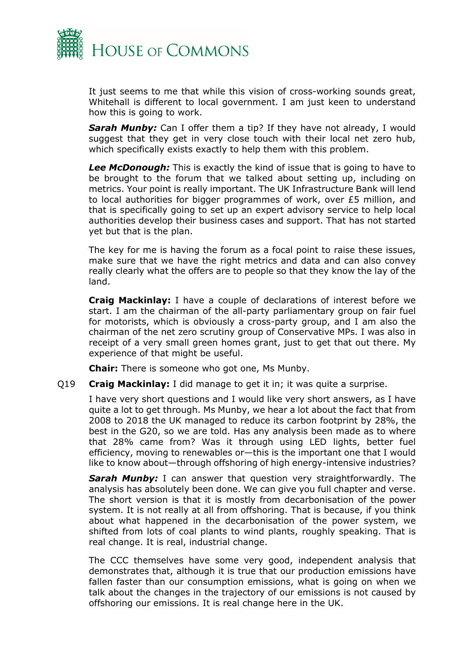

It just seems to me that while this vision of cross-working sounds great, Whitehall is different to local government. I am just keen to understand how this is going to work.

**Sarah Munby:** Can I offer them a tip? If they have not already, I would suggest that they get in very close touch with their local net zero hub, which specifically exists exactly to help them with this problem.

*Lee McDonough:* This is exactly the kind of issue that is going to have to be brought to the forum that we talked about setting up, including on metrics. Your point is really important. The UK Infrastructure Bank will lend to local authorities for bigger programmes of work, over £5 million, and that is specifically going to set up an expert advisory service to help local authorities develop their business cases and support. That has not started yet but that is the plan.

The key for me is having the forum as a focal point to raise these issues, make sure that we have the right metrics and data and can also convey really clearly what the offers are to people so that they know the lay of the land.

**Craig Mackinlay:** I have a couple of declarations of interest before we start. I am the chairman of the all-party parliamentary group on fair fuel for motorists, which is obviously a cross-party group, and I am also the chairman of the net zero scrutiny group of Conservative MPs. I was also in receipt of a very small green homes grant, just to get that out there. My experience of that might be useful.

**Chair:** There is someone who got one, Ms Munby.

Q19 **Craig Mackinlay:** I did manage to get it in; it was quite a surprise.

I have very short questions and I would like very short answers, as I have quite a lot to get through. Ms Munby, we hear a lot about the fact that from 2008 to 2018 the UK managed to reduce its carbon footprint by 28%, the best in the G20, so we are told. Has any analysis been made as to where that 28% came from? Was it through using LED lights, better fuel efficiency, moving to renewables or—this is the important one that I would like to know about—through offshoring of high energy-intensive industries?

*Sarah Munby:* I can answer that question very straightforwardly. The analysis has absolutely been done. We can give you full chapter and verse. The short version is that it is mostly from decarbonisation of the power system. It is not really at all from offshoring. That is because, if you think about what happened in the decarbonisation of the power system, we shifted from lots of coal plants to wind plants, roughly speaking. That is real change. It is real, industrial change.

The CCC themselves have some very good, independent analysis that demonstrates that, although it is true that our production emissions have fallen faster than our consumption emissions, what is going on when we talk about the changes in the trajectory of our emissions is not caused by offshoring our emissions. It is real change here in the UK.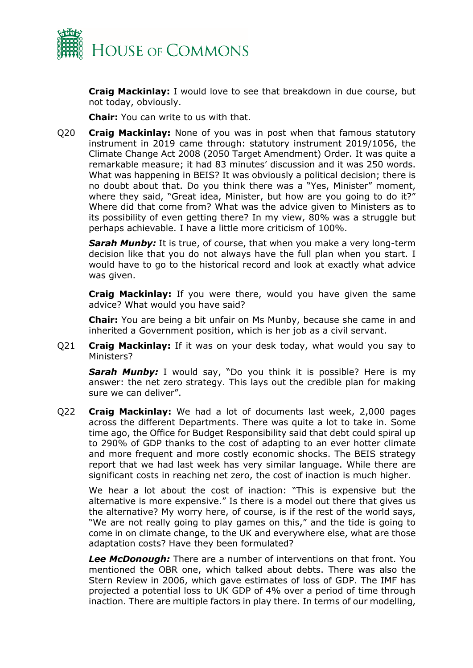

**Craig Mackinlay:** I would love to see that breakdown in due course, but not today, obviously.

**Chair:** You can write to us with that.

Q20 **Craig Mackinlay:** None of you was in post when that famous statutory instrument in 2019 came through: statutory instrument 2019/1056, the Climate Change Act 2008 (2050 Target Amendment) Order. It was quite a remarkable measure; it had 83 minutes' discussion and it was 250 words. What was happening in BEIS? It was obviously a political decision; there is no doubt about that. Do you think there was a "Yes, Minister" moment, where they said, "Great idea, Minister, but how are you going to do it?" Where did that come from? What was the advice given to Ministers as to its possibility of even getting there? In my view, 80% was a struggle but perhaps achievable. I have a little more criticism of 100%.

**Sarah Munby:** It is true, of course, that when you make a very long-term decision like that you do not always have the full plan when you start. I would have to go to the historical record and look at exactly what advice was given.

**Craig Mackinlay:** If you were there, would you have given the same advice? What would you have said?

**Chair:** You are being a bit unfair on Ms Munby, because she came in and inherited a Government position, which is her job as a civil servant.

Q21 **Craig Mackinlay:** If it was on your desk today, what would you say to Ministers?

**Sarah Munby:** I would say, "Do you think it is possible? Here is my answer: the net zero strategy. This lays out the credible plan for making sure we can deliver".

Q22 **Craig Mackinlay:** We had a lot of documents last week, 2,000 pages across the different Departments. There was quite a lot to take in. Some time ago, the Office for Budget Responsibility said that debt could spiral up to 290% of GDP thanks to the cost of adapting to an ever hotter climate and more frequent and more costly economic shocks. The BEIS strategy report that we had last week has very similar language. While there are significant costs in reaching net zero, the cost of inaction is much higher.

We hear a lot about the cost of inaction: "This is expensive but the alternative is more expensive." Is there is a model out there that gives us the alternative? My worry here, of course, is if the rest of the world says, "We are not really going to play games on this," and the tide is going to come in on climate change, to the UK and everywhere else, what are those adaptation costs? Have they been formulated?

*Lee McDonough:* There are a number of interventions on that front. You mentioned the OBR one, which talked about debts. There was also the Stern Review in 2006, which gave estimates of loss of GDP. The IMF has projected a potential loss to UK GDP of 4% over a period of time through inaction. There are multiple factors in play there. In terms of our modelling,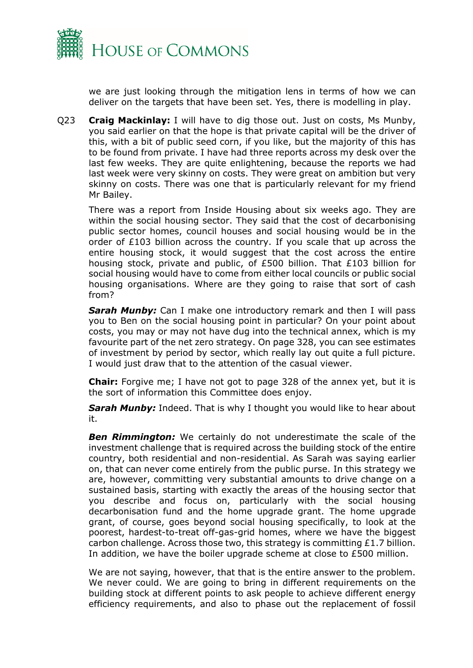

we are just looking through the mitigation lens in terms of how we can deliver on the targets that have been set. Yes, there is modelling in play.

Q23 **Craig Mackinlay:** I will have to dig those out. Just on costs, Ms Munby, you said earlier on that the hope is that private capital will be the driver of this, with a bit of public seed corn, if you like, but the majority of this has to be found from private. I have had three reports across my desk over the last few weeks. They are quite enlightening, because the reports we had last week were very skinny on costs. They were great on ambition but very skinny on costs. There was one that is particularly relevant for my friend Mr Bailey.

There was a report from Inside Housing about six weeks ago. They are within the social housing sector. They said that the cost of decarbonising public sector homes, council houses and social housing would be in the order of £103 billion across the country. If you scale that up across the entire housing stock, it would suggest that the cost across the entire housing stock, private and public, of £500 billion. That £103 billion for social housing would have to come from either local councils or public social housing organisations. Where are they going to raise that sort of cash from?

**Sarah Munby:** Can I make one introductory remark and then I will pass you to Ben on the social housing point in particular? On your point about costs, you may or may not have dug into the technical annex, which is my favourite part of the net zero strategy. On page 328, you can see estimates of investment by period by sector, which really lay out quite a full picture. I would just draw that to the attention of the casual viewer.

**Chair:** Forgive me; I have not got to page 328 of the annex yet, but it is the sort of information this Committee does enjoy.

**Sarah Munby:** Indeed. That is why I thought you would like to hear about it.

*Ben Rimmington:* We certainly do not underestimate the scale of the investment challenge that is required across the building stock of the entire country, both residential and non-residential. As Sarah was saying earlier on, that can never come entirely from the public purse. In this strategy we are, however, committing very substantial amounts to drive change on a sustained basis, starting with exactly the areas of the housing sector that you describe and focus on, particularly with the social housing decarbonisation fund and the home upgrade grant. The home upgrade grant, of course, goes beyond social housing specifically, to look at the poorest, hardest-to-treat off-gas-grid homes, where we have the biggest carbon challenge. Across those two, this strategy is committing £1.7 billion. In addition, we have the boiler upgrade scheme at close to £500 million.

We are not saying, however, that that is the entire answer to the problem. We never could. We are going to bring in different requirements on the building stock at different points to ask people to achieve different energy efficiency requirements, and also to phase out the replacement of fossil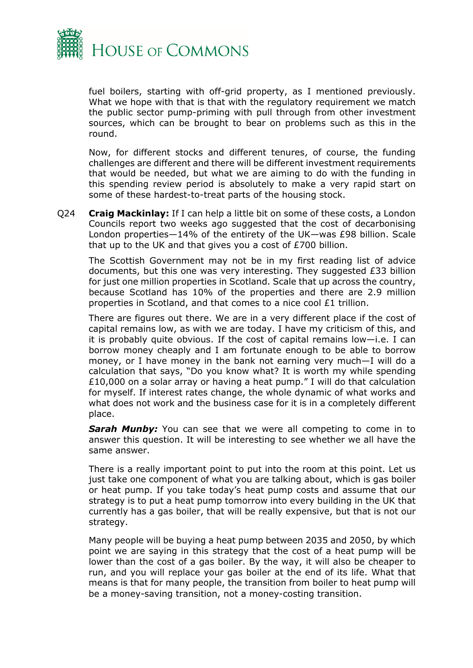

fuel boilers, starting with off-grid property, as I mentioned previously. What we hope with that is that with the regulatory requirement we match the public sector pump-priming with pull through from other investment sources, which can be brought to bear on problems such as this in the round.

Now, for different stocks and different tenures, of course, the funding challenges are different and there will be different investment requirements that would be needed, but what we are aiming to do with the funding in this spending review period is absolutely to make a very rapid start on some of these hardest-to-treat parts of the housing stock.

Q24 **Craig Mackinlay:** If I can help a little bit on some of these costs, a London Councils report two weeks ago suggested that the cost of decarbonising London properties—14% of the entirety of the UK—was £98 billion. Scale that up to the UK and that gives you a cost of £700 billion.

The Scottish Government may not be in my first reading list of advice documents, but this one was very interesting. They suggested £33 billion for just one million properties in Scotland. Scale that up across the country, because Scotland has 10% of the properties and there are 2.9 million properties in Scotland, and that comes to a nice cool £1 trillion.

There are figures out there. We are in a very different place if the cost of capital remains low, as with we are today. I have my criticism of this, and it is probably quite obvious. If the cost of capital remains low—i.e. I can borrow money cheaply and I am fortunate enough to be able to borrow money, or I have money in the bank not earning very much—I will do a calculation that says, "Do you know what? It is worth my while spending £10,000 on a solar array or having a heat pump." I will do that calculation for myself. If interest rates change, the whole dynamic of what works and what does not work and the business case for it is in a completely different place.

**Sarah Munby:** You can see that we were all competing to come in to answer this question. It will be interesting to see whether we all have the same answer.

There is a really important point to put into the room at this point. Let us just take one component of what you are talking about, which is gas boiler or heat pump. If you take today's heat pump costs and assume that our strategy is to put a heat pump tomorrow into every building in the UK that currently has a gas boiler, that will be really expensive, but that is not our strategy.

Many people will be buying a heat pump between 2035 and 2050, by which point we are saying in this strategy that the cost of a heat pump will be lower than the cost of a gas boiler. By the way, it will also be cheaper to run, and you will replace your gas boiler at the end of its life. What that means is that for many people, the transition from boiler to heat pump will be a money-saving transition, not a money-costing transition.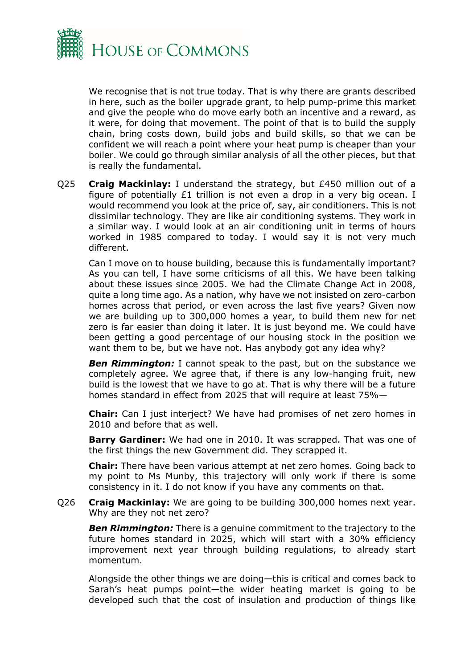

We recognise that is not true today. That is why there are grants described in here, such as the boiler upgrade grant, to help pump-prime this market and give the people who do move early both an incentive and a reward, as it were, for doing that movement. The point of that is to build the supply chain, bring costs down, build jobs and build skills, so that we can be confident we will reach a point where your heat pump is cheaper than your boiler. We could go through similar analysis of all the other pieces, but that is really the fundamental.

Q25 **Craig Mackinlay:** I understand the strategy, but £450 million out of a figure of potentially £1 trillion is not even a drop in a very big ocean. I would recommend you look at the price of, say, air conditioners. This is not dissimilar technology. They are like air conditioning systems. They work in a similar way. I would look at an air conditioning unit in terms of hours worked in 1985 compared to today. I would say it is not very much different.

Can I move on to house building, because this is fundamentally important? As you can tell, I have some criticisms of all this. We have been talking about these issues since 2005. We had the Climate Change Act in 2008, quite a long time ago. As a nation, why have we not insisted on zero-carbon homes across that period, or even across the last five years? Given now we are building up to 300,000 homes a year, to build them new for net zero is far easier than doing it later. It is just beyond me. We could have been getting a good percentage of our housing stock in the position we want them to be, but we have not. Has anybody got any idea why?

**Ben Rimmington:** I cannot speak to the past, but on the substance we completely agree. We agree that, if there is any low-hanging fruit, new build is the lowest that we have to go at. That is why there will be a future homes standard in effect from 2025 that will require at least 75%—

**Chair:** Can I just interject? We have had promises of net zero homes in 2010 and before that as well.

**Barry Gardiner:** We had one in 2010. It was scrapped. That was one of the first things the new Government did. They scrapped it.

**Chair:** There have been various attempt at net zero homes. Going back to my point to Ms Munby, this trajectory will only work if there is some consistency in it. I do not know if you have any comments on that.

Q26 **Craig Mackinlay:** We are going to be building 300,000 homes next year. Why are they not net zero?

**Ben Rimmington:** There is a genuine commitment to the trajectory to the future homes standard in 2025, which will start with a 30% efficiency improvement next year through building regulations, to already start momentum.

Alongside the other things we are doing—this is critical and comes back to Sarah's heat pumps point—the wider heating market is going to be developed such that the cost of insulation and production of things like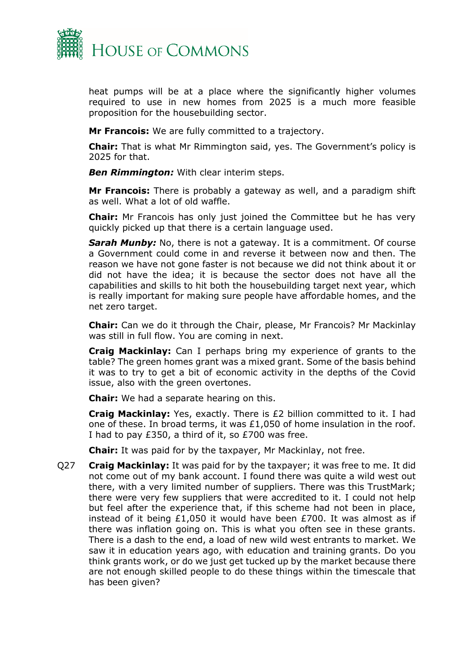

heat pumps will be at a place where the significantly higher volumes required to use in new homes from 2025 is a much more feasible proposition for the housebuilding sector.

**Mr Francois:** We are fully committed to a trajectory.

**Chair:** That is what Mr Rimmington said, yes. The Government's policy is 2025 for that.

*Ben Rimmington:* With clear interim steps.

**Mr Francois:** There is probably a gateway as well, and a paradigm shift as well. What a lot of old waffle.

**Chair:** Mr Francois has only just joined the Committee but he has very quickly picked up that there is a certain language used.

**Sarah Munby:** No, there is not a gateway. It is a commitment. Of course a Government could come in and reverse it between now and then. The reason we have not gone faster is not because we did not think about it or did not have the idea; it is because the sector does not have all the capabilities and skills to hit both the housebuilding target next year, which is really important for making sure people have affordable homes, and the net zero target.

**Chair:** Can we do it through the Chair, please, Mr Francois? Mr Mackinlay was still in full flow. You are coming in next.

**Craig Mackinlay:** Can I perhaps bring my experience of grants to the table? The green homes grant was a mixed grant. Some of the basis behind it was to try to get a bit of economic activity in the depths of the Covid issue, also with the green overtones.

**Chair:** We had a separate hearing on this.

**Craig Mackinlay:** Yes, exactly. There is £2 billion committed to it. I had one of these. In broad terms, it was £1,050 of home insulation in the roof. I had to pay £350, a third of it, so £700 was free.

**Chair:** It was paid for by the taxpayer, Mr Mackinlay, not free.

Q27 **Craig Mackinlay:** It was paid for by the taxpayer; it was free to me. It did not come out of my bank account. I found there was quite a wild west out there, with a very limited number of suppliers. There was this TrustMark; there were very few suppliers that were accredited to it. I could not help but feel after the experience that, if this scheme had not been in place, instead of it being £1,050 it would have been £700. It was almost as if there was inflation going on. This is what you often see in these grants. There is a dash to the end, a load of new wild west entrants to market. We saw it in education years ago, with education and training grants. Do you think grants work, or do we just get tucked up by the market because there are not enough skilled people to do these things within the timescale that has been given?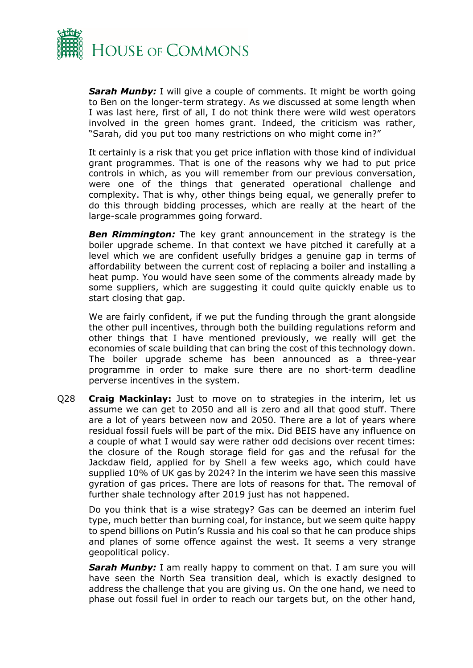

*Sarah Munby:* I will give a couple of comments. It might be worth going to Ben on the longer-term strategy. As we discussed at some length when I was last here, first of all, I do not think there were wild west operators involved in the green homes grant. Indeed, the criticism was rather, "Sarah, did you put too many restrictions on who might come in?"

It certainly is a risk that you get price inflation with those kind of individual grant programmes. That is one of the reasons why we had to put price controls in which, as you will remember from our previous conversation, were one of the things that generated operational challenge and complexity. That is why, other things being equal, we generally prefer to do this through bidding processes, which are really at the heart of the large-scale programmes going forward.

**Ben Rimmington:** The key grant announcement in the strategy is the boiler upgrade scheme. In that context we have pitched it carefully at a level which we are confident usefully bridges a genuine gap in terms of affordability between the current cost of replacing a boiler and installing a heat pump. You would have seen some of the comments already made by some suppliers, which are suggesting it could quite quickly enable us to start closing that gap.

We are fairly confident, if we put the funding through the grant alongside the other pull incentives, through both the building regulations reform and other things that I have mentioned previously, we really will get the economies of scale building that can bring the cost of this technology down. The boiler upgrade scheme has been announced as a three-year programme in order to make sure there are no short-term deadline perverse incentives in the system.

Q28 **Craig Mackinlay:** Just to move on to strategies in the interim, let us assume we can get to 2050 and all is zero and all that good stuff. There are a lot of years between now and 2050. There are a lot of years where residual fossil fuels will be part of the mix. Did BEIS have any influence on a couple of what I would say were rather odd decisions over recent times: the closure of the Rough storage field for gas and the refusal for the Jackdaw field, applied for by Shell a few weeks ago, which could have supplied 10% of UK gas by 2024? In the interim we have seen this massive gyration of gas prices. There are lots of reasons for that. The removal of further shale technology after 2019 just has not happened.

Do you think that is a wise strategy? Gas can be deemed an interim fuel type, much better than burning coal, for instance, but we seem quite happy to spend billions on Putin's Russia and his coal so that he can produce ships and planes of some offence against the west. It seems a very strange geopolitical policy.

**Sarah Munby:** I am really happy to comment on that. I am sure you will have seen the North Sea transition deal, which is exactly designed to address the challenge that you are giving us. On the one hand, we need to phase out fossil fuel in order to reach our targets but, on the other hand,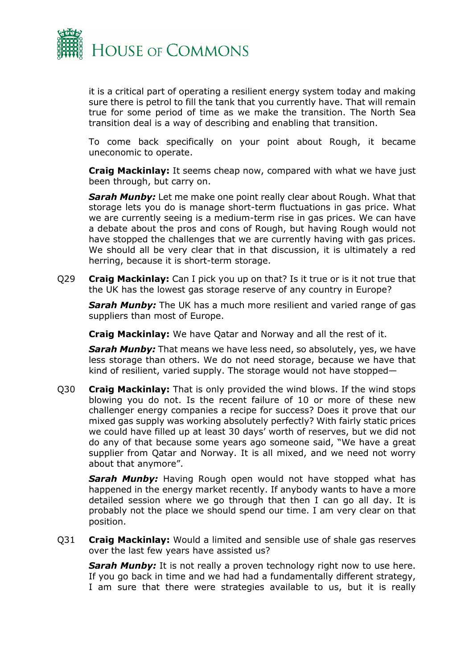

it is a critical part of operating a resilient energy system today and making sure there is petrol to fill the tank that you currently have. That will remain true for some period of time as we make the transition. The North Sea transition deal is a way of describing and enabling that transition.

To come back specifically on your point about Rough, it became uneconomic to operate.

**Craig Mackinlay:** It seems cheap now, compared with what we have just been through, but carry on.

*Sarah Munby:* Let me make one point really clear about Rough. What that storage lets you do is manage short-term fluctuations in gas price. What we are currently seeing is a medium-term rise in gas prices. We can have a debate about the pros and cons of Rough, but having Rough would not have stopped the challenges that we are currently having with gas prices. We should all be very clear that in that discussion, it is ultimately a red herring, because it is short-term storage.

Q29 **Craig Mackinlay:** Can I pick you up on that? Is it true or is it not true that the UK has the lowest gas storage reserve of any country in Europe?

**Sarah Munby:** The UK has a much more resilient and varied range of gas suppliers than most of Europe.

**Craig Mackinlay:** We have Qatar and Norway and all the rest of it.

*Sarah Munby:* That means we have less need, so absolutely, yes, we have less storage than others. We do not need storage, because we have that kind of resilient, varied supply. The storage would not have stopped—

Q30 **Craig Mackinlay:** That is only provided the wind blows. If the wind stops blowing you do not. Is the recent failure of 10 or more of these new challenger energy companies a recipe for success? Does it prove that our mixed gas supply was working absolutely perfectly? With fairly static prices we could have filled up at least 30 days' worth of reserves, but we did not do any of that because some years ago someone said, "We have a great supplier from Qatar and Norway. It is all mixed, and we need not worry about that anymore".

*Sarah Munby:* Having Rough open would not have stopped what has happened in the energy market recently. If anybody wants to have a more detailed session where we go through that then I can go all day. It is probably not the place we should spend our time. I am very clear on that position.

Q31 **Craig Mackinlay:** Would a limited and sensible use of shale gas reserves over the last few years have assisted us?

**Sarah Munby:** It is not really a proven technology right now to use here. If you go back in time and we had had a fundamentally different strategy, I am sure that there were strategies available to us, but it is really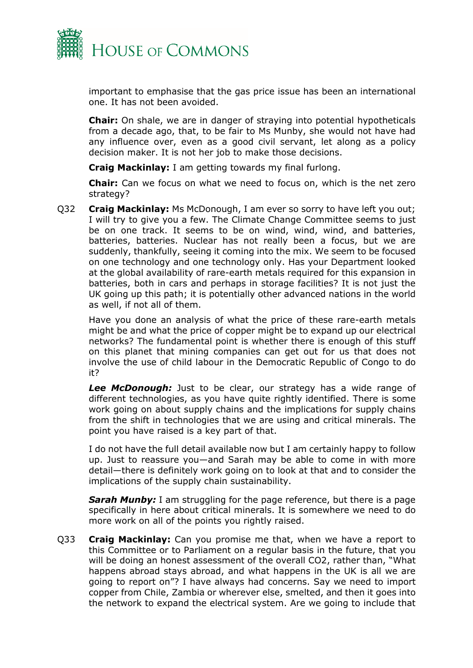

important to emphasise that the gas price issue has been an international one. It has not been avoided.

**Chair:** On shale, we are in danger of straying into potential hypotheticals from a decade ago, that, to be fair to Ms Munby, she would not have had any influence over, even as a good civil servant, let along as a policy decision maker. It is not her job to make those decisions.

**Craig Mackinlay:** I am getting towards my final furlong.

**Chair:** Can we focus on what we need to focus on, which is the net zero strategy?

Q32 **Craig Mackinlay:** Ms McDonough, I am ever so sorry to have left you out; I will try to give you a few. The Climate Change Committee seems to just be on one track. It seems to be on wind, wind, wind, and batteries, batteries, batteries. Nuclear has not really been a focus, but we are suddenly, thankfully, seeing it coming into the mix. We seem to be focused on one technology and one technology only. Has your Department looked at the global availability of rare-earth metals required for this expansion in batteries, both in cars and perhaps in storage facilities? It is not just the UK going up this path; it is potentially other advanced nations in the world as well, if not all of them.

Have you done an analysis of what the price of these rare-earth metals might be and what the price of copper might be to expand up our electrical networks? The fundamental point is whether there is enough of this stuff on this planet that mining companies can get out for us that does not involve the use of child labour in the Democratic Republic of Congo to do it?

*Lee McDonough:* Just to be clear, our strategy has a wide range of different technologies, as you have quite rightly identified. There is some work going on about supply chains and the implications for supply chains from the shift in technologies that we are using and critical minerals. The point you have raised is a key part of that.

I do not have the full detail available now but I am certainly happy to follow up. Just to reassure you—and Sarah may be able to come in with more detail—there is definitely work going on to look at that and to consider the implications of the supply chain sustainability.

**Sarah Munby:** I am struggling for the page reference, but there is a page specifically in here about critical minerals. It is somewhere we need to do more work on all of the points you rightly raised.

Q33 **Craig Mackinlay:** Can you promise me that, when we have a report to this Committee or to Parliament on a regular basis in the future, that you will be doing an honest assessment of the overall CO2, rather than, "What happens abroad stays abroad, and what happens in the UK is all we are going to report on"? I have always had concerns. Say we need to import copper from Chile, Zambia or wherever else, smelted, and then it goes into the network to expand the electrical system. Are we going to include that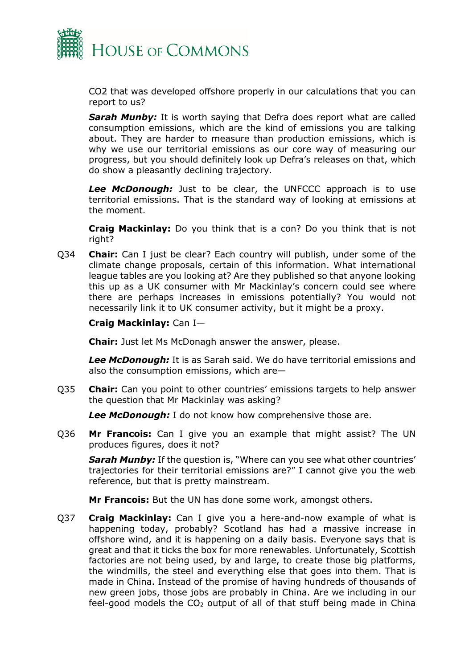

CO2 that was developed offshore properly in our calculations that you can report to us?

*Sarah Munby:* It is worth saying that Defra does report what are called consumption emissions, which are the kind of emissions you are talking about. They are harder to measure than production emissions, which is why we use our territorial emissions as our core way of measuring our progress, but you should definitely look up Defra's releases on that, which do show a pleasantly declining trajectory.

*Lee McDonough:* Just to be clear, the UNFCCC approach is to use territorial emissions. That is the standard way of looking at emissions at the moment.

**Craig Mackinlay:** Do you think that is a con? Do you think that is not right?

Q34 **Chair:** Can I just be clear? Each country will publish, under some of the climate change proposals, certain of this information. What international league tables are you looking at? Are they published so that anyone looking this up as a UK consumer with Mr Mackinlay's concern could see where there are perhaps increases in emissions potentially? You would not necessarily link it to UK consumer activity, but it might be a proxy.

#### **Craig Mackinlay:** Can I—

**Chair:** Just let Ms McDonagh answer the answer, please.

*Lee McDonough:* It is as Sarah said. We do have territorial emissions and also the consumption emissions, which are—

Q35 **Chair:** Can you point to other countries' emissions targets to help answer the question that Mr Mackinlay was asking?

*Lee McDonough:* I do not know how comprehensive those are.

Q36 **Mr Francois:** Can I give you an example that might assist? The UN produces figures, does it not?

**Sarah Munby:** If the question is, "Where can you see what other countries' trajectories for their territorial emissions are?" I cannot give you the web reference, but that is pretty mainstream.

**Mr Francois:** But the UN has done some work, amongst others.

Q37 **Craig Mackinlay:** Can I give you a here-and-now example of what is happening today, probably? Scotland has had a massive increase in offshore wind, and it is happening on a daily basis. Everyone says that is great and that it ticks the box for more renewables. Unfortunately, Scottish factories are not being used, by and large, to create those big platforms, the windmills, the steel and everything else that goes into them. That is made in China. Instead of the promise of having hundreds of thousands of new green jobs, those jobs are probably in China. Are we including in our feel-good models the  $CO<sub>2</sub>$  output of all of that stuff being made in China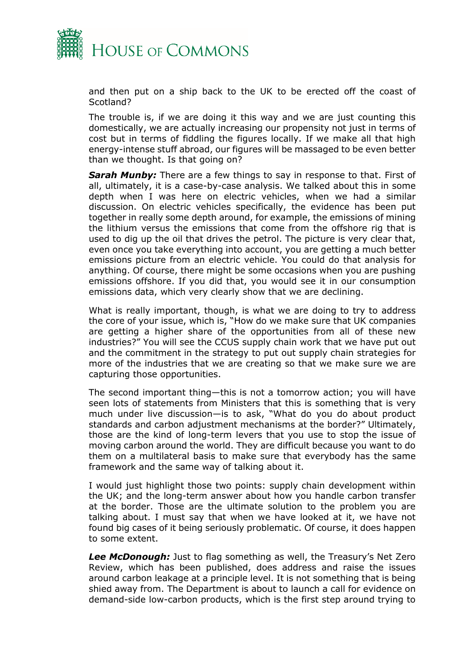

and then put on a ship back to the UK to be erected off the coast of Scotland?

The trouble is, if we are doing it this way and we are just counting this domestically, we are actually increasing our propensity not just in terms of cost but in terms of fiddling the figures locally. If we make all that high energy-intense stuff abroad, our figures will be massaged to be even better than we thought. Is that going on?

*Sarah Munby:* There are a few things to say in response to that. First of all, ultimately, it is a case-by-case analysis. We talked about this in some depth when I was here on electric vehicles, when we had a similar discussion. On electric vehicles specifically, the evidence has been put together in really some depth around, for example, the emissions of mining the lithium versus the emissions that come from the offshore rig that is used to dig up the oil that drives the petrol. The picture is very clear that, even once you take everything into account, you are getting a much better emissions picture from an electric vehicle. You could do that analysis for anything. Of course, there might be some occasions when you are pushing emissions offshore. If you did that, you would see it in our consumption emissions data, which very clearly show that we are declining.

What is really important, though, is what we are doing to try to address the core of your issue, which is, "How do we make sure that UK companies are getting a higher share of the opportunities from all of these new industries?" You will see the CCUS supply chain work that we have put out and the commitment in the strategy to put out supply chain strategies for more of the industries that we are creating so that we make sure we are capturing those opportunities.

The second important thing—this is not a tomorrow action; you will have seen lots of statements from Ministers that this is something that is very much under live discussion—is to ask, "What do you do about product standards and carbon adjustment mechanisms at the border?" Ultimately, those are the kind of long-term levers that you use to stop the issue of moving carbon around the world. They are difficult because you want to do them on a multilateral basis to make sure that everybody has the same framework and the same way of talking about it.

I would just highlight those two points: supply chain development within the UK; and the long-term answer about how you handle carbon transfer at the border. Those are the ultimate solution to the problem you are talking about. I must say that when we have looked at it, we have not found big cases of it being seriously problematic. Of course, it does happen to some extent.

*Lee McDonough:* Just to flag something as well, the Treasury's Net Zero Review, which has been published, does address and raise the issues around carbon leakage at a principle level. It is not something that is being shied away from. The Department is about to launch a call for evidence on demand-side low-carbon products, which is the first step around trying to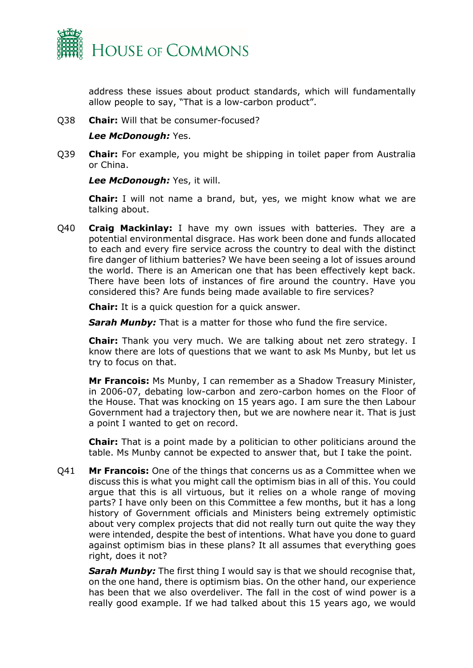

address these issues about product standards, which will fundamentally allow people to say, "That is a low-carbon product".

Q38 **Chair:** Will that be consumer-focused?

#### *Lee McDonough:* Yes.

Q39 **Chair:** For example, you might be shipping in toilet paper from Australia or China.

*Lee McDonough:* Yes, it will.

**Chair:** I will not name a brand, but, yes, we might know what we are talking about.

Q40 **Craig Mackinlay:** I have my own issues with batteries. They are a potential environmental disgrace. Has work been done and funds allocated to each and every fire service across the country to deal with the distinct fire danger of lithium batteries? We have been seeing a lot of issues around the world. There is an American one that has been effectively kept back. There have been lots of instances of fire around the country. Have you considered this? Are funds being made available to fire services?

**Chair:** It is a quick question for a quick answer.

**Sarah Munby:** That is a matter for those who fund the fire service.

**Chair:** Thank you very much. We are talking about net zero strategy. I know there are lots of questions that we want to ask Ms Munby, but let us try to focus on that.

**Mr Francois:** Ms Munby, I can remember as a Shadow Treasury Minister, in 2006-07, debating low-carbon and zero-carbon homes on the Floor of the House. That was knocking on 15 years ago. I am sure the then Labour Government had a trajectory then, but we are nowhere near it. That is just a point I wanted to get on record.

**Chair:** That is a point made by a politician to other politicians around the table. Ms Munby cannot be expected to answer that, but I take the point.

Q41 **Mr Francois:** One of the things that concerns us as a Committee when we discuss this is what you might call the optimism bias in all of this. You could argue that this is all virtuous, but it relies on a whole range of moving parts? I have only been on this Committee a few months, but it has a long history of Government officials and Ministers being extremely optimistic about very complex projects that did not really turn out quite the way they were intended, despite the best of intentions. What have you done to guard against optimism bias in these plans? It all assumes that everything goes right, does it not?

*Sarah Munby:* The first thing I would say is that we should recognise that, on the one hand, there is optimism bias. On the other hand, our experience has been that we also overdeliver. The fall in the cost of wind power is a really good example. If we had talked about this 15 years ago, we would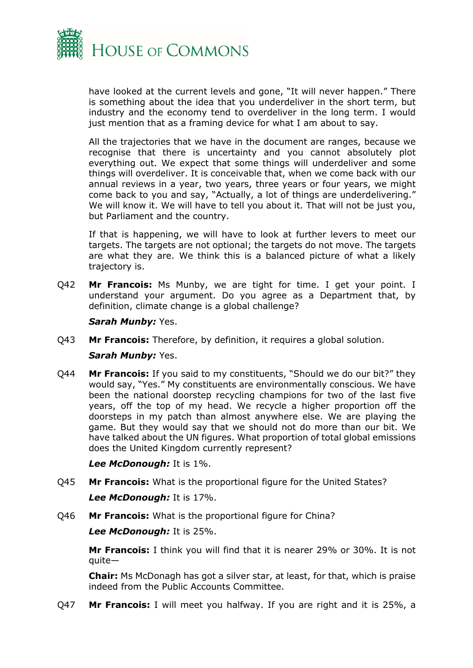

have looked at the current levels and gone, "It will never happen." There is something about the idea that you underdeliver in the short term, but industry and the economy tend to overdeliver in the long term. I would just mention that as a framing device for what I am about to say.

All the trajectories that we have in the document are ranges, because we recognise that there is uncertainty and you cannot absolutely plot everything out. We expect that some things will underdeliver and some things will overdeliver. It is conceivable that, when we come back with our annual reviews in a year, two years, three years or four years, we might come back to you and say, "Actually, a lot of things are underdelivering." We will know it. We will have to tell you about it. That will not be just you, but Parliament and the country.

If that is happening, we will have to look at further levers to meet our targets. The targets are not optional; the targets do not move. The targets are what they are. We think this is a balanced picture of what a likely trajectory is.

Q42 **Mr Francois:** Ms Munby, we are tight for time. I get your point. I understand your argument. Do you agree as a Department that, by definition, climate change is a global challenge?

#### *Sarah Munby:* Yes.

Q43 **Mr Francois:** Therefore, by definition, it requires a global solution.

#### *Sarah Munby:* Yes.

Q44 **Mr Francois:** If you said to my constituents, "Should we do our bit?" they would say, "Yes." My constituents are environmentally conscious. We have been the national doorstep recycling champions for two of the last five years, off the top of my head. We recycle a higher proportion off the doorsteps in my patch than almost anywhere else. We are playing the game. But they would say that we should not do more than our bit. We have talked about the UN figures. What proportion of total global emissions does the United Kingdom currently represent?

*Lee McDonough:* It is 1%.

- Q45 **Mr Francois:** What is the proportional figure for the United States? *Lee McDonough:* It is 17%.
- Q46 **Mr Francois:** What is the proportional figure for China?

*Lee McDonough:* It is 25%.

**Mr Francois:** I think you will find that it is nearer 29% or 30%. It is not  $a$ uite $-$ 

**Chair:** Ms McDonagh has got a silver star, at least, for that, which is praise indeed from the Public Accounts Committee.

Q47 **Mr Francois:** I will meet you halfway. If you are right and it is 25%, a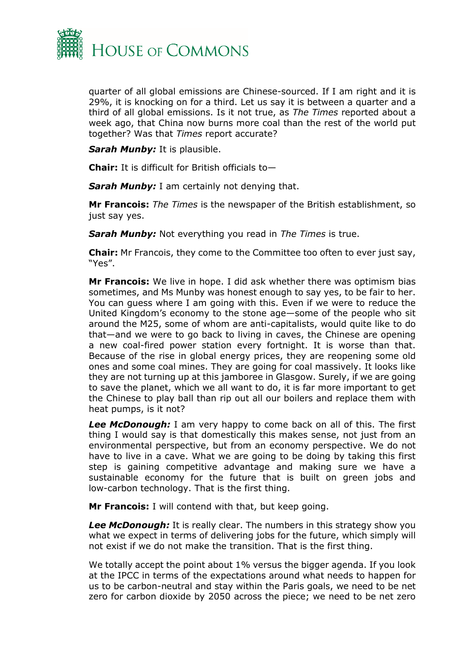

quarter of all global emissions are Chinese-sourced. If I am right and it is 29%, it is knocking on for a third. Let us say it is between a quarter and a third of all global emissions. Is it not true, as *The Times* reported about a week ago, that China now burns more coal than the rest of the world put together? Was that *Times* report accurate?

*Sarah Munby:* It is plausible.

**Chair:** It is difficult for British officials to—

**Sarah Munby:** I am certainly not denying that.

**Mr Francois:** *The Times* is the newspaper of the British establishment, so just say yes.

*Sarah Munby:* Not everything you read in *The Times* is true.

**Chair:** Mr Francois, they come to the Committee too often to ever just say, "Yes".

**Mr Francois:** We live in hope. I did ask whether there was optimism bias sometimes, and Ms Munby was honest enough to say yes, to be fair to her. You can guess where I am going with this. Even if we were to reduce the United Kingdom's economy to the stone age—some of the people who sit around the M25, some of whom are anti-capitalists, would quite like to do that—and we were to go back to living in caves, the Chinese are opening a new coal-fired power station every fortnight. It is worse than that. Because of the rise in global energy prices, they are reopening some old ones and some coal mines. They are going for coal massively. It looks like they are not turning up at this jamboree in Glasgow. Surely, if we are going to save the planet, which we all want to do, it is far more important to get the Chinese to play ball than rip out all our boilers and replace them with heat pumps, is it not?

*Lee McDonough:* I am very happy to come back on all of this. The first thing I would say is that domestically this makes sense, not just from an environmental perspective, but from an economy perspective. We do not have to live in a cave. What we are going to be doing by taking this first step is gaining competitive advantage and making sure we have a sustainable economy for the future that is built on green jobs and low-carbon technology. That is the first thing.

**Mr Francois:** I will contend with that, but keep going.

*Lee McDonough:* It is really clear. The numbers in this strategy show you what we expect in terms of delivering jobs for the future, which simply will not exist if we do not make the transition. That is the first thing.

We totally accept the point about 1% versus the bigger agenda. If you look at the IPCC in terms of the expectations around what needs to happen for us to be carbon-neutral and stay within the Paris goals, we need to be net zero for carbon dioxide by 2050 across the piece; we need to be net zero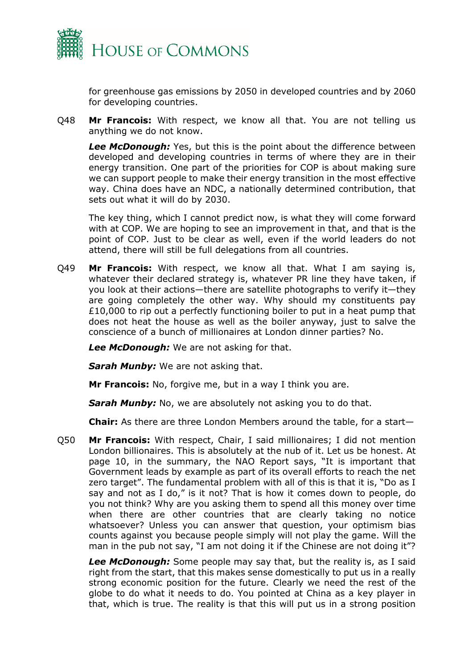

for greenhouse gas emissions by 2050 in developed countries and by 2060 for developing countries.

Q48 **Mr Francois:** With respect, we know all that. You are not telling us anything we do not know.

*Lee McDonough:* Yes, but this is the point about the difference between developed and developing countries in terms of where they are in their energy transition. One part of the priorities for COP is about making sure we can support people to make their energy transition in the most effective way. China does have an NDC, a nationally determined contribution, that sets out what it will do by 2030.

The key thing, which I cannot predict now, is what they will come forward with at COP. We are hoping to see an improvement in that, and that is the point of COP. Just to be clear as well, even if the world leaders do not attend, there will still be full delegations from all countries.

Q49 **Mr Francois:** With respect, we know all that. What I am saying is, whatever their declared strategy is, whatever PR line they have taken, if you look at their actions—there are satellite photographs to verify it—they are going completely the other way. Why should my constituents pay  $£10,000$  to rip out a perfectly functioning boiler to put in a heat pump that does not heat the house as well as the boiler anyway, just to salve the conscience of a bunch of millionaires at London dinner parties? No.

*Lee McDonough:* We are not asking for that.

**Sarah Munby:** We are not asking that.

**Mr Francois:** No, forgive me, but in a way I think you are.

**Sarah Munby:** No, we are absolutely not asking you to do that.

**Chair:** As there are three London Members around the table, for a start—

Q50 **Mr Francois:** With respect, Chair, I said millionaires; I did not mention London billionaires. This is absolutely at the nub of it. Let us be honest. At page 10, in the summary, the NAO Report says, "It is important that Government leads by example as part of its overall efforts to reach the net zero target". The fundamental problem with all of this is that it is, "Do as I say and not as I do," is it not? That is how it comes down to people, do you not think? Why are you asking them to spend all this money over time when there are other countries that are clearly taking no notice whatsoever? Unless you can answer that question, your optimism bias counts against you because people simply will not play the game. Will the man in the pub not say, "I am not doing it if the Chinese are not doing it"?

*Lee McDonough:* Some people may say that, but the reality is, as I said right from the start, that this makes sense domestically to put us in a really strong economic position for the future. Clearly we need the rest of the globe to do what it needs to do. You pointed at China as a key player in that, which is true. The reality is that this will put us in a strong position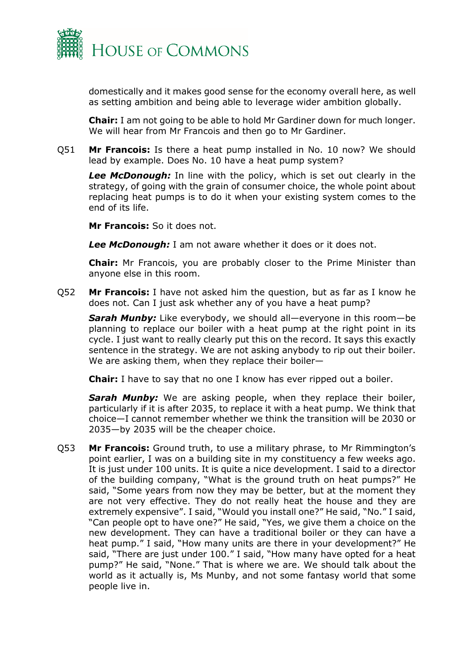

domestically and it makes good sense for the economy overall here, as well as setting ambition and being able to leverage wider ambition globally.

**Chair:** I am not going to be able to hold Mr Gardiner down for much longer. We will hear from Mr Francois and then go to Mr Gardiner.

Q51 **Mr Francois:** Is there a heat pump installed in No. 10 now? We should lead by example. Does No. 10 have a heat pump system?

*Lee McDonough:* In line with the policy, which is set out clearly in the strategy, of going with the grain of consumer choice, the whole point about replacing heat pumps is to do it when your existing system comes to the end of its life.

**Mr Francois:** So it does not.

*Lee McDonough:* I am not aware whether it does or it does not.

**Chair:** Mr Francois, you are probably closer to the Prime Minister than anyone else in this room.

Q52 **Mr Francois:** I have not asked him the question, but as far as I know he does not. Can I just ask whether any of you have a heat pump?

*Sarah Munby:* Like everybody, we should all—everyone in this room—be planning to replace our boiler with a heat pump at the right point in its cycle. I just want to really clearly put this on the record. It says this exactly sentence in the strategy. We are not asking anybody to rip out their boiler. We are asking them, when they replace their boiler—

**Chair:** I have to say that no one I know has ever ripped out a boiler.

**Sarah Munby:** We are asking people, when they replace their boiler, particularly if it is after 2035, to replace it with a heat pump. We think that choice—I cannot remember whether we think the transition will be 2030 or 2035—by 2035 will be the cheaper choice.

Q53 **Mr Francois:** Ground truth, to use a military phrase, to Mr Rimmington's point earlier, I was on a building site in my constituency a few weeks ago. It is just under 100 units. It is quite a nice development. I said to a director of the building company, "What is the ground truth on heat pumps?" He said, "Some years from now they may be better, but at the moment they are not very effective. They do not really heat the house and they are extremely expensive". I said, "Would you install one?" He said, "No." I said, "Can people opt to have one?" He said, "Yes, we give them a choice on the new development. They can have a traditional boiler or they can have a heat pump." I said, "How many units are there in your development?" He said, "There are just under 100." I said, "How many have opted for a heat pump?" He said, "None." That is where we are. We should talk about the world as it actually is, Ms Munby, and not some fantasy world that some people live in.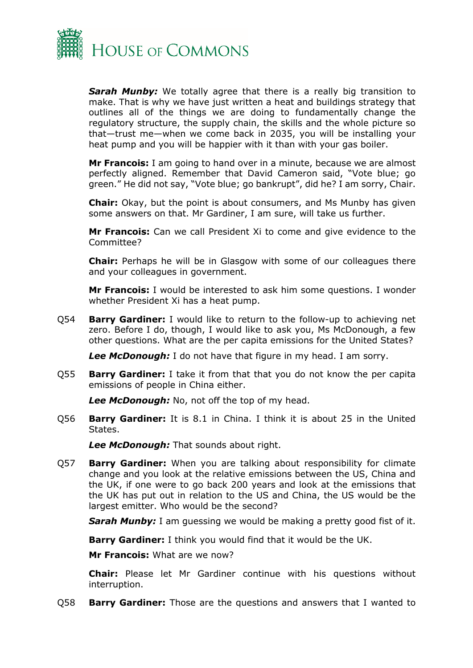

**Sarah Munby:** We totally agree that there is a really big transition to make. That is why we have just written a heat and buildings strategy that outlines all of the things we are doing to fundamentally change the regulatory structure, the supply chain, the skills and the whole picture so that—trust me—when we come back in 2035, you will be installing your heat pump and you will be happier with it than with your gas boiler.

**Mr Francois:** I am going to hand over in a minute, because we are almost perfectly aligned. Remember that David Cameron said, "Vote blue; go green." He did not say, "Vote blue; go bankrupt", did he? I am sorry, Chair.

**Chair:** Okay, but the point is about consumers, and Ms Munby has given some answers on that. Mr Gardiner, I am sure, will take us further.

**Mr Francois:** Can we call President Xi to come and give evidence to the Committee?

**Chair:** Perhaps he will be in Glasgow with some of our colleagues there and your colleagues in government.

**Mr Francois:** I would be interested to ask him some questions. I wonder whether President Xi has a heat pump.

Q54 **Barry Gardiner:** I would like to return to the follow-up to achieving net zero. Before I do, though, I would like to ask you, Ms McDonough, a few other questions. What are the per capita emissions for the United States?

*Lee McDonough:* I do not have that figure in my head. I am sorry.

Q55 **Barry Gardiner:** I take it from that that you do not know the per capita emissions of people in China either.

*Lee McDonough:* No, not off the top of my head.

Q56 **Barry Gardiner:** It is 8.1 in China. I think it is about 25 in the United States.

*Lee McDonough:* That sounds about right.

Q57 **Barry Gardiner:** When you are talking about responsibility for climate change and you look at the relative emissions between the US, China and the UK, if one were to go back 200 years and look at the emissions that the UK has put out in relation to the US and China, the US would be the largest emitter. Who would be the second?

**Sarah Munby:** I am guessing we would be making a pretty good fist of it.

**Barry Gardiner:** I think you would find that it would be the UK.

**Mr Francois:** What are we now?

**Chair:** Please let Mr Gardiner continue with his questions without interruption.

Q58 **Barry Gardiner:** Those are the questions and answers that I wanted to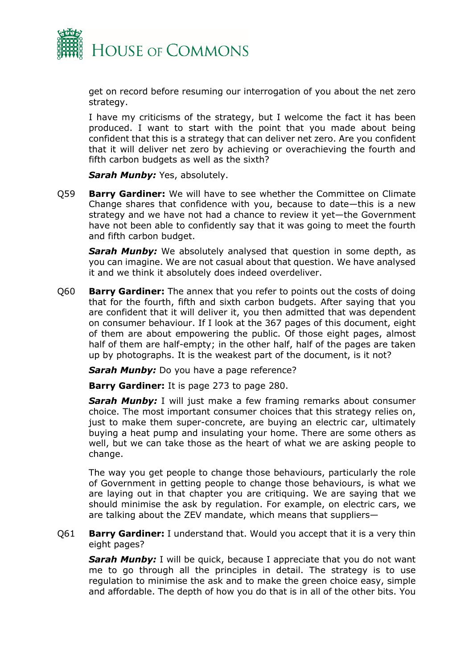

get on record before resuming our interrogation of you about the net zero strategy.

I have my criticisms of the strategy, but I welcome the fact it has been produced. I want to start with the point that you made about being confident that this is a strategy that can deliver net zero. Are you confident that it will deliver net zero by achieving or overachieving the fourth and fifth carbon budgets as well as the sixth?

*Sarah Munby: Yes, absolutely.* 

Q59 **Barry Gardiner:** We will have to see whether the Committee on Climate Change shares that confidence with you, because to date—this is a new strategy and we have not had a chance to review it yet—the Government have not been able to confidently say that it was going to meet the fourth and fifth carbon budget.

**Sarah Munby:** We absolutely analysed that question in some depth, as you can imagine. We are not casual about that question. We have analysed it and we think it absolutely does indeed overdeliver.

Q60 **Barry Gardiner:** The annex that you refer to points out the costs of doing that for the fourth, fifth and sixth carbon budgets. After saying that you are confident that it will deliver it, you then admitted that was dependent on consumer behaviour. If I look at the 367 pages of this document, eight of them are about empowering the public. Of those eight pages, almost half of them are half-empty; in the other half, half of the pages are taken up by photographs. It is the weakest part of the document, is it not?

**Sarah Munby:** Do you have a page reference?

**Barry Gardiner:** It is page 273 to page 280.

**Sarah Munby:** I will just make a few framing remarks about consumer choice. The most important consumer choices that this strategy relies on, just to make them super-concrete, are buying an electric car, ultimately buying a heat pump and insulating your home. There are some others as well, but we can take those as the heart of what we are asking people to change.

The way you get people to change those behaviours, particularly the role of Government in getting people to change those behaviours, is what we are laying out in that chapter you are critiquing. We are saying that we should minimise the ask by regulation. For example, on electric cars, we are talking about the ZEV mandate, which means that suppliers—

Q61 **Barry Gardiner:** I understand that. Would you accept that it is a very thin eight pages?

**Sarah Munby:** I will be quick, because I appreciate that you do not want me to go through all the principles in detail. The strategy is to use regulation to minimise the ask and to make the green choice easy, simple and affordable. The depth of how you do that is in all of the other bits. You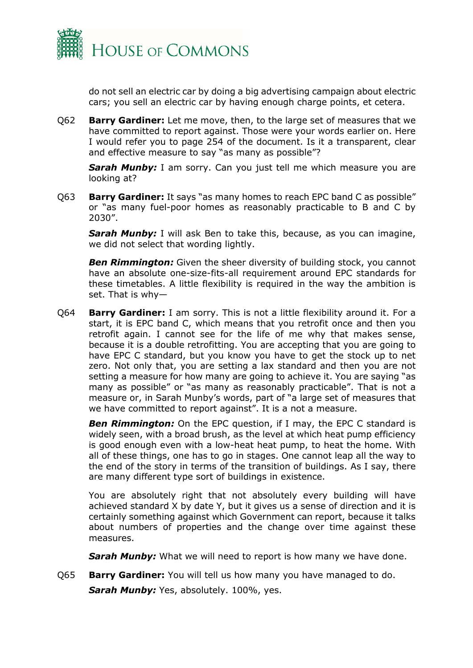

do not sell an electric car by doing a big advertising campaign about electric cars; you sell an electric car by having enough charge points, et cetera.

Q62 **Barry Gardiner:** Let me move, then, to the large set of measures that we have committed to report against. Those were your words earlier on. Here I would refer you to page 254 of the document. Is it a transparent, clear and effective measure to say "as many as possible"?

**Sarah Munby:** I am sorry. Can you just tell me which measure you are looking at?

Q63 **Barry Gardiner:** It says "as many homes to reach EPC band C as possible" or "as many fuel-poor homes as reasonably practicable to B and C by 2030".

**Sarah Munby:** I will ask Ben to take this, because, as you can imagine, we did not select that wording lightly.

**Ben Rimmington:** Given the sheer diversity of building stock, you cannot have an absolute one-size-fits-all requirement around EPC standards for these timetables. A little flexibility is required in the way the ambition is set. That is why—

Q64 **Barry Gardiner:** I am sorry. This is not a little flexibility around it. For a start, it is EPC band C, which means that you retrofit once and then you retrofit again. I cannot see for the life of me why that makes sense, because it is a double retrofitting. You are accepting that you are going to have EPC C standard, but you know you have to get the stock up to net zero. Not only that, you are setting a lax standard and then you are not setting a measure for how many are going to achieve it. You are saying "as many as possible" or "as many as reasonably practicable". That is not a measure or, in Sarah Munby's words, part of "a large set of measures that we have committed to report against". It is a not a measure.

**Ben Rimmington:** On the EPC question, if I may, the EPC C standard is widely seen, with a broad brush, as the level at which heat pump efficiency is good enough even with a low-heat heat pump, to heat the home. With all of these things, one has to go in stages. One cannot leap all the way to the end of the story in terms of the transition of buildings. As I say, there are many different type sort of buildings in existence.

You are absolutely right that not absolutely every building will have achieved standard X by date Y, but it gives us a sense of direction and it is certainly something against which Government can report, because it talks about numbers of properties and the change over time against these measures.

**Sarah Munby:** What we will need to report is how many we have done.

Q65 **Barry Gardiner:** You will tell us how many you have managed to do. **Sarah Munby:** Yes, absolutely. 100%, yes.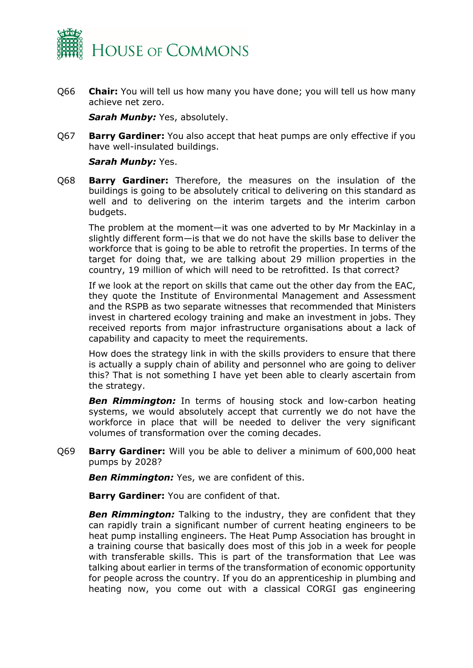

Q66 **Chair:** You will tell us how many you have done; you will tell us how many achieve net zero.

*Sarah Munby: Yes, absolutely.* 

Q67 **Barry Gardiner:** You also accept that heat pumps are only effective if you have well-insulated buildings.

#### *Sarah Munby:* Yes.

Q68 **Barry Gardiner:** Therefore, the measures on the insulation of the buildings is going to be absolutely critical to delivering on this standard as well and to delivering on the interim targets and the interim carbon budgets.

The problem at the moment—it was one adverted to by Mr Mackinlay in a slightly different form—is that we do not have the skills base to deliver the workforce that is going to be able to retrofit the properties. In terms of the target for doing that, we are talking about 29 million properties in the country, 19 million of which will need to be retrofitted. Is that correct?

If we look at the report on skills that came out the other day from the EAC, they quote the Institute of Environmental Management and Assessment and the RSPB as two separate witnesses that recommended that Ministers invest in chartered ecology training and make an investment in jobs. They received reports from major infrastructure organisations about a lack of capability and capacity to meet the requirements.

How does the strategy link in with the skills providers to ensure that there is actually a supply chain of ability and personnel who are going to deliver this? That is not something I have yet been able to clearly ascertain from the strategy.

**Ben Rimmington:** In terms of housing stock and low-carbon heating systems, we would absolutely accept that currently we do not have the workforce in place that will be needed to deliver the very significant volumes of transformation over the coming decades.

Q69 **Barry Gardiner:** Will you be able to deliver a minimum of 600,000 heat pumps by 2028?

**Ben Rimmington:** Yes, we are confident of this.

**Barry Gardiner:** You are confident of that.

**Ben Rimmington:** Talking to the industry, they are confident that they can rapidly train a significant number of current heating engineers to be heat pump installing engineers. The Heat Pump Association has brought in a training course that basically does most of this job in a week for people with transferable skills. This is part of the transformation that Lee was talking about earlier in terms of the transformation of economic opportunity for people across the country. If you do an apprenticeship in plumbing and heating now, you come out with a classical CORGI gas engineering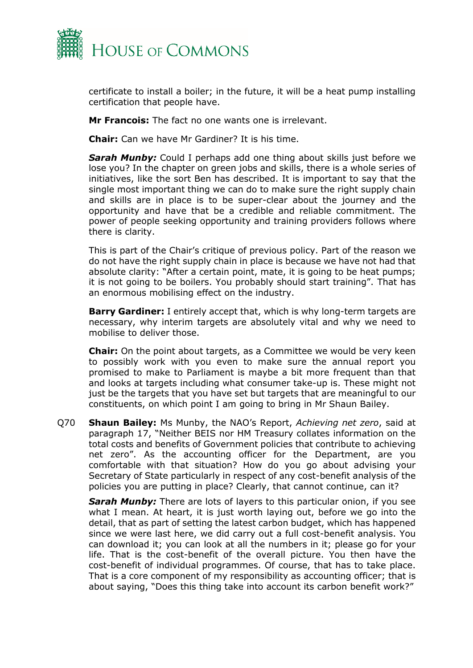

certificate to install a boiler; in the future, it will be a heat pump installing certification that people have.

**Mr Francois:** The fact no one wants one is irrelevant.

**Chair:** Can we have Mr Gardiner? It is his time.

*Sarah Munby:* Could I perhaps add one thing about skills just before we lose you? In the chapter on green jobs and skills, there is a whole series of initiatives, like the sort Ben has described. It is important to say that the single most important thing we can do to make sure the right supply chain and skills are in place is to be super-clear about the journey and the opportunity and have that be a credible and reliable commitment. The power of people seeking opportunity and training providers follows where there is clarity.

This is part of the Chair's critique of previous policy. Part of the reason we do not have the right supply chain in place is because we have not had that absolute clarity: "After a certain point, mate, it is going to be heat pumps; it is not going to be boilers. You probably should start training". That has an enormous mobilising effect on the industry.

**Barry Gardiner:** I entirely accept that, which is why long-term targets are necessary, why interim targets are absolutely vital and why we need to mobilise to deliver those.

**Chair:** On the point about targets, as a Committee we would be very keen to possibly work with you even to make sure the annual report you promised to make to Parliament is maybe a bit more frequent than that and looks at targets including what consumer take-up is. These might not just be the targets that you have set but targets that are meaningful to our constituents, on which point I am going to bring in Mr Shaun Bailey.

Q70 **Shaun Bailey:** Ms Munby, the NAO's Report, *Achieving net zero*, said at paragraph 17, "Neither BEIS nor HM Treasury collates information on the total costs and benefits of Government policies that contribute to achieving net zero". As the accounting officer for the Department, are you comfortable with that situation? How do you go about advising your Secretary of State particularly in respect of any cost-benefit analysis of the policies you are putting in place? Clearly, that cannot continue, can it?

**Sarah Munby:** There are lots of layers to this particular onion, if you see what I mean. At heart, it is just worth laying out, before we go into the detail, that as part of setting the latest carbon budget, which has happened since we were last here, we did carry out a full cost-benefit analysis. You can download it; you can look at all the numbers in it; please go for your life. That is the cost-benefit of the overall picture. You then have the cost-benefit of individual programmes. Of course, that has to take place. That is a core component of my responsibility as accounting officer; that is about saying, "Does this thing take into account its carbon benefit work?"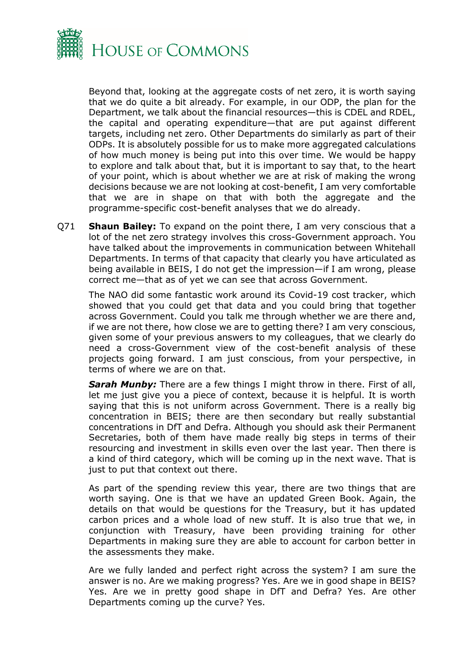

Beyond that, looking at the aggregate costs of net zero, it is worth saying that we do quite a bit already. For example, in our ODP, the plan for the Department, we talk about the financial resources—this is CDEL and RDEL, the capital and operating expenditure—that are put against different targets, including net zero. Other Departments do similarly as part of their ODPs. It is absolutely possible for us to make more aggregated calculations of how much money is being put into this over time. We would be happy to explore and talk about that, but it is important to say that, to the heart of your point, which is about whether we are at risk of making the wrong decisions because we are not looking at cost-benefit, I am very comfortable that we are in shape on that with both the aggregate and the programme-specific cost-benefit analyses that we do already.

Q71 **Shaun Bailey:** To expand on the point there, I am very conscious that a lot of the net zero strategy involves this cross-Government approach. You have talked about the improvements in communication between Whitehall Departments. In terms of that capacity that clearly you have articulated as being available in BEIS, I do not get the impression—if I am wrong, please correct me—that as of yet we can see that across Government.

The NAO did some fantastic work around its Covid-19 cost tracker, which showed that you could get that data and you could bring that together across Government. Could you talk me through whether we are there and, if we are not there, how close we are to getting there? I am very conscious, given some of your previous answers to my colleagues, that we clearly do need a cross-Government view of the cost-benefit analysis of these projects going forward. I am just conscious, from your perspective, in terms of where we are on that.

**Sarah Munby:** There are a few things I might throw in there. First of all, let me just give you a piece of context, because it is helpful. It is worth saying that this is not uniform across Government. There is a really big concentration in BEIS; there are then secondary but really substantial concentrations in DfT and Defra. Although you should ask their Permanent Secretaries, both of them have made really big steps in terms of their resourcing and investment in skills even over the last year. Then there is a kind of third category, which will be coming up in the next wave. That is just to put that context out there.

As part of the spending review this year, there are two things that are worth saying. One is that we have an updated Green Book. Again, the details on that would be questions for the Treasury, but it has updated carbon prices and a whole load of new stuff. It is also true that we, in conjunction with Treasury, have been providing training for other Departments in making sure they are able to account for carbon better in the assessments they make.

Are we fully landed and perfect right across the system? I am sure the answer is no. Are we making progress? Yes. Are we in good shape in BEIS? Yes. Are we in pretty good shape in DfT and Defra? Yes. Are other Departments coming up the curve? Yes.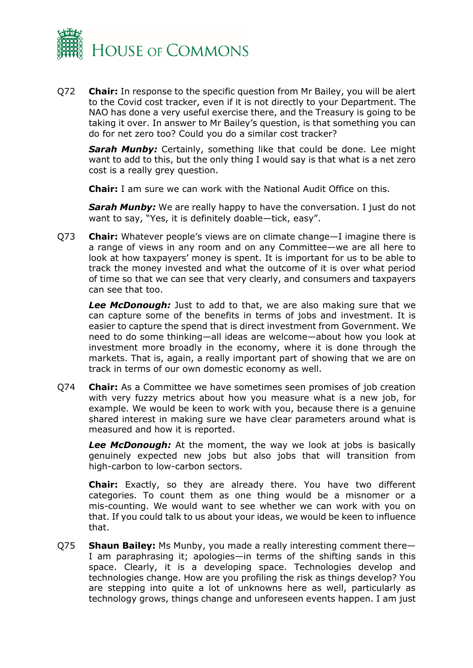

Q72 **Chair:** In response to the specific question from Mr Bailey, you will be alert to the Covid cost tracker, even if it is not directly to your Department. The NAO has done a very useful exercise there, and the Treasury is going to be taking it over. In answer to Mr Bailey's question, is that something you can do for net zero too? Could you do a similar cost tracker?

*Sarah Munby:* Certainly, something like that could be done. Lee might want to add to this, but the only thing I would say is that what is a net zero cost is a really grey question.

**Chair:** I am sure we can work with the National Audit Office on this.

**Sarah Munby:** We are really happy to have the conversation. I just do not want to say, "Yes, it is definitely doable—tick, easy".

Q73 **Chair:** Whatever people's views are on climate change—I imagine there is a range of views in any room and on any Committee—we are all here to look at how taxpayers' money is spent. It is important for us to be able to track the money invested and what the outcome of it is over what period of time so that we can see that very clearly, and consumers and taxpayers can see that too.

*Lee McDonough:* Just to add to that, we are also making sure that we can capture some of the benefits in terms of jobs and investment. It is easier to capture the spend that is direct investment from Government. We need to do some thinking—all ideas are welcome—about how you look at investment more broadly in the economy, where it is done through the markets. That is, again, a really important part of showing that we are on track in terms of our own domestic economy as well.

Q74 **Chair:** As a Committee we have sometimes seen promises of job creation with very fuzzy metrics about how you measure what is a new job, for example. We would be keen to work with you, because there is a genuine shared interest in making sure we have clear parameters around what is measured and how it is reported.

**Lee McDonough:** At the moment, the way we look at jobs is basically genuinely expected new jobs but also jobs that will transition from high-carbon to low-carbon sectors.

**Chair:** Exactly, so they are already there. You have two different categories. To count them as one thing would be a misnomer or a mis-counting. We would want to see whether we can work with you on that. If you could talk to us about your ideas, we would be keen to influence that.

Q75 **Shaun Bailey:** Ms Munby, you made a really interesting comment there— I am paraphrasing it; apologies—in terms of the shifting sands in this space. Clearly, it is a developing space. Technologies develop and technologies change. How are you profiling the risk as things develop? You are stepping into quite a lot of unknowns here as well, particularly as technology grows, things change and unforeseen events happen. I am just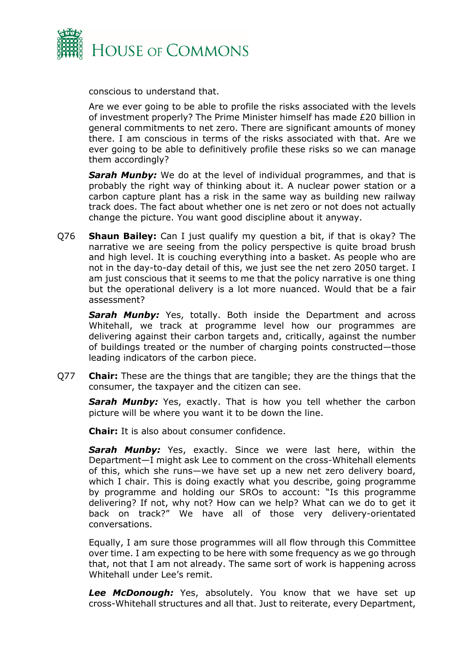

conscious to understand that.

Are we ever going to be able to profile the risks associated with the levels of investment properly? The Prime Minister himself has made £20 billion in general commitments to net zero. There are significant amounts of money there. I am conscious in terms of the risks associated with that. Are we ever going to be able to definitively profile these risks so we can manage them accordingly?

*Sarah Munby:* We do at the level of individual programmes, and that is probably the right way of thinking about it. A nuclear power station or a carbon capture plant has a risk in the same way as building new railway track does. The fact about whether one is net zero or not does not actually change the picture. You want good discipline about it anyway.

Q76 **Shaun Bailey:** Can I just qualify my question a bit, if that is okay? The narrative we are seeing from the policy perspective is quite broad brush and high level. It is couching everything into a basket. As people who are not in the day-to-day detail of this, we just see the net zero 2050 target. I am just conscious that it seems to me that the policy narrative is one thing but the operational delivery is a lot more nuanced. Would that be a fair assessment?

**Sarah Munby:** Yes, totally. Both inside the Department and across Whitehall, we track at programme level how our programmes are delivering against their carbon targets and, critically, against the number of buildings treated or the number of charging points constructed—those leading indicators of the carbon piece.

Q77 **Chair:** These are the things that are tangible; they are the things that the consumer, the taxpayer and the citizen can see.

**Sarah Munby:** Yes, exactly. That is how you tell whether the carbon picture will be where you want it to be down the line.

**Chair:** It is also about consumer confidence.

**Sarah Munby:** Yes, exactly. Since we were last here, within the Department—I might ask Lee to comment on the cross-Whitehall elements of this, which she runs—we have set up a new net zero delivery board, which I chair. This is doing exactly what you describe, going programme by programme and holding our SROs to account: "Is this programme delivering? If not, why not? How can we help? What can we do to get it back on track?" We have all of those very delivery-orientated conversations.

Equally, I am sure those programmes will all flow through this Committee over time. I am expecting to be here with some frequency as we go through that, not that I am not already. The same sort of work is happening across Whitehall under Lee's remit.

Lee McDonough: Yes, absolutely. You know that we have set up cross-Whitehall structures and all that. Just to reiterate, every Department,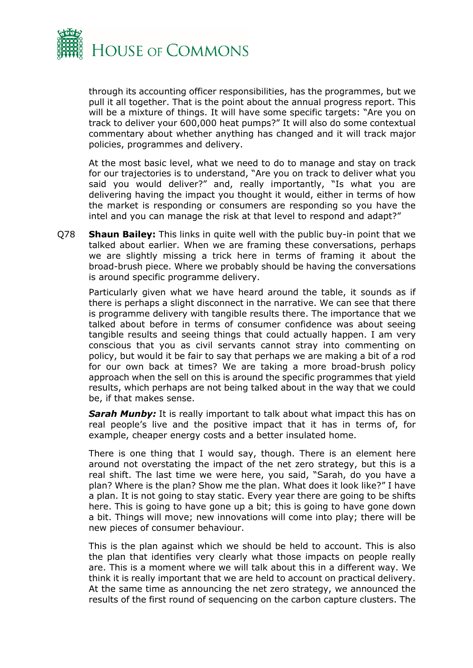

through its accounting officer responsibilities, has the programmes, but we pull it all together. That is the point about the annual progress report. This will be a mixture of things. It will have some specific targets: "Are you on track to deliver your 600,000 heat pumps?" It will also do some contextual commentary about whether anything has changed and it will track major policies, programmes and delivery.

At the most basic level, what we need to do to manage and stay on track for our trajectories is to understand, "Are you on track to deliver what you said you would deliver?" and, really importantly, "Is what you are delivering having the impact you thought it would, either in terms of how the market is responding or consumers are responding so you have the intel and you can manage the risk at that level to respond and adapt?"

Q78 **Shaun Bailey:** This links in quite well with the public buy-in point that we talked about earlier. When we are framing these conversations, perhaps we are slightly missing a trick here in terms of framing it about the broad-brush piece. Where we probably should be having the conversations is around specific programme delivery.

Particularly given what we have heard around the table, it sounds as if there is perhaps a slight disconnect in the narrative. We can see that there is programme delivery with tangible results there. The importance that we talked about before in terms of consumer confidence was about seeing tangible results and seeing things that could actually happen. I am very conscious that you as civil servants cannot stray into commenting on policy, but would it be fair to say that perhaps we are making a bit of a rod for our own back at times? We are taking a more broad-brush policy approach when the sell on this is around the specific programmes that yield results, which perhaps are not being talked about in the way that we could be, if that makes sense.

*Sarah Munby:* It is really important to talk about what impact this has on real people's live and the positive impact that it has in terms of, for example, cheaper energy costs and a better insulated home.

There is one thing that I would say, though. There is an element here around not overstating the impact of the net zero strategy, but this is a real shift. The last time we were here, you said, "Sarah, do you have a plan? Where is the plan? Show me the plan. What does it look like?" I have a plan. It is not going to stay static. Every year there are going to be shifts here. This is going to have gone up a bit; this is going to have gone down a bit. Things will move; new innovations will come into play; there will be new pieces of consumer behaviour.

This is the plan against which we should be held to account. This is also the plan that identifies very clearly what those impacts on people really are. This is a moment where we will talk about this in a different way. We think it is really important that we are held to account on practical delivery. At the same time as announcing the net zero strategy, we announced the results of the first round of sequencing on the carbon capture clusters. The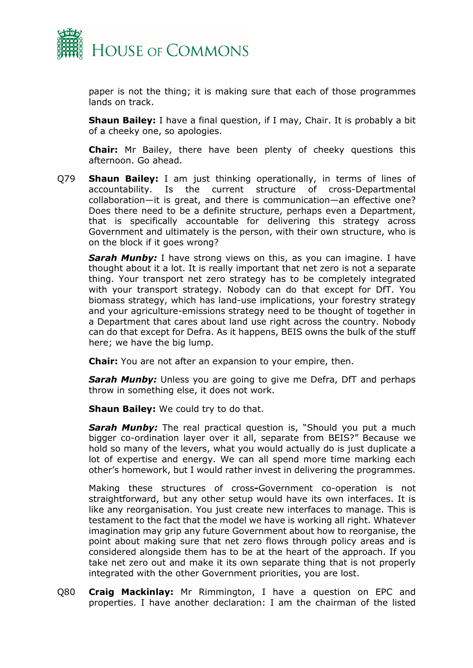

paper is not the thing; it is making sure that each of those programmes lands on track.

**Shaun Bailey:** I have a final question, if I may, Chair. It is probably a bit of a cheeky one, so apologies.

**Chair:** Mr Bailey, there have been plenty of cheeky questions this afternoon. Go ahead.

Q79 **Shaun Bailey:** I am just thinking operationally, in terms of lines of accountability. Is the current structure of cross-Departmental collaboration—it is great, and there is communication—an effective one? Does there need to be a definite structure, perhaps even a Department, that is specifically accountable for delivering this strategy across Government and ultimately is the person, with their own structure, who is on the block if it goes wrong?

**Sarah Munby:** I have strong views on this, as you can imagine. I have thought about it a lot. It is really important that net zero is not a separate thing. Your transport net zero strategy has to be completely integrated with your transport strategy. Nobody can do that except for DfT. You biomass strategy, which has land-use implications, your forestry strategy and your agriculture-emissions strategy need to be thought of together in a Department that cares about land use right across the country. Nobody can do that except for Defra. As it happens, BEIS owns the bulk of the stuff here; we have the big lump.

**Chair:** You are not after an expansion to your empire, then.

**Sarah Munby:** Unless you are going to give me Defra, DfT and perhaps throw in something else, it does not work.

**Shaun Bailey:** We could try to do that.

**Sarah Munby:** The real practical question is, "Should you put a much bigger co-ordination layer over it all, separate from BEIS?" Because we hold so many of the levers, what you would actually do is just duplicate a lot of expertise and energy. We can all spend more time marking each other's homework, but I would rather invest in delivering the programmes.

Making these structures of cross**-**Government co-operation is not straightforward, but any other setup would have its own interfaces. It is like any reorganisation. You just create new interfaces to manage. This is testament to the fact that the model we have is working all right. Whatever imagination may grip any future Government about how to reorganise, the point about making sure that net zero flows through policy areas and is considered alongside them has to be at the heart of the approach. If you take net zero out and make it its own separate thing that is not properly integrated with the other Government priorities, you are lost.

Q80 **Craig Mackinlay:** Mr Rimmington, I have a question on EPC and properties. I have another declaration: I am the chairman of the listed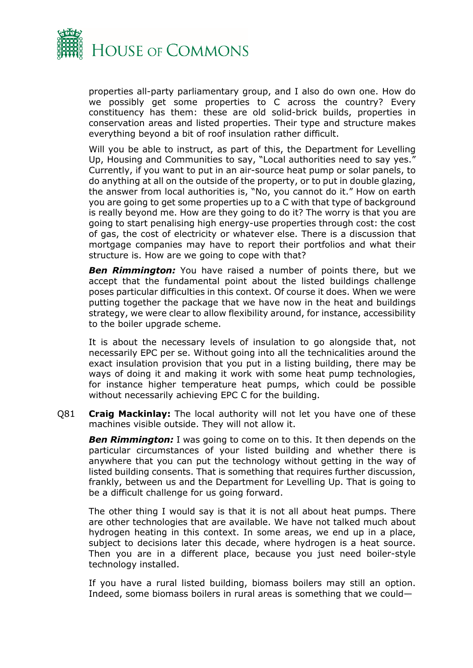

properties all-party parliamentary group, and I also do own one. How do we possibly get some properties to C across the country? Every constituency has them: these are old solid-brick builds, properties in conservation areas and listed properties. Their type and structure makes everything beyond a bit of roof insulation rather difficult.

Will you be able to instruct, as part of this, the Department for Levelling Up, Housing and Communities to say, "Local authorities need to say yes." Currently, if you want to put in an air-source heat pump or solar panels, to do anything at all on the outside of the property, or to put in double glazing, the answer from local authorities is, "No, you cannot do it." How on earth you are going to get some properties up to a C with that type of background is really beyond me. How are they going to do it? The worry is that you are going to start penalising high energy-use properties through cost: the cost of gas, the cost of electricity or whatever else. There is a discussion that mortgage companies may have to report their portfolios and what their structure is. How are we going to cope with that?

**Ben Rimmington:** You have raised a number of points there, but we accept that the fundamental point about the listed buildings challenge poses particular difficulties in this context. Of course it does. When we were putting together the package that we have now in the heat and buildings strategy, we were clear to allow flexibility around, for instance, accessibility to the boiler upgrade scheme.

It is about the necessary levels of insulation to go alongside that, not necessarily EPC per se. Without going into all the technicalities around the exact insulation provision that you put in a listing building, there may be ways of doing it and making it work with some heat pump technologies, for instance higher temperature heat pumps, which could be possible without necessarily achieving EPC C for the building.

Q81 **Craig Mackinlay:** The local authority will not let you have one of these machines visible outside. They will not allow it.

*Ben Rimmington:* I was going to come on to this. It then depends on the particular circumstances of your listed building and whether there is anywhere that you can put the technology without getting in the way of listed building consents. That is something that requires further discussion, frankly, between us and the Department for Levelling Up. That is going to be a difficult challenge for us going forward.

The other thing I would say is that it is not all about heat pumps. There are other technologies that are available. We have not talked much about hydrogen heating in this context. In some areas, we end up in a place, subject to decisions later this decade, where hydrogen is a heat source. Then you are in a different place, because you just need boiler-style technology installed.

If you have a rural listed building, biomass boilers may still an option. Indeed, some biomass boilers in rural areas is something that we could—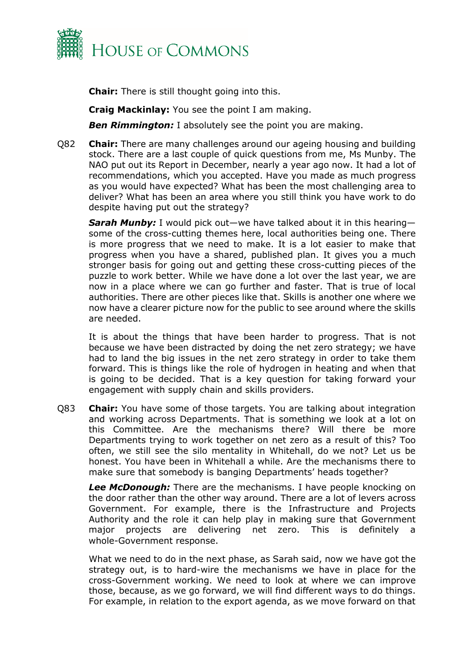

**Chair:** There is still thought going into this.

**Craig Mackinlay:** You see the point I am making.

**Ben Rimmington:** I absolutely see the point you are making.

Q82 **Chair:** There are many challenges around our ageing housing and building stock. There are a last couple of quick questions from me, Ms Munby. The NAO put out its Report in December, nearly a year ago now. It had a lot of recommendations, which you accepted. Have you made as much progress as you would have expected? What has been the most challenging area to deliver? What has been an area where you still think you have work to do despite having put out the strategy?

*Sarah Munby:* I would pick out—we have talked about it in this hearing some of the cross-cutting themes here, local authorities being one. There is more progress that we need to make. It is a lot easier to make that progress when you have a shared, published plan. It gives you a much stronger basis for going out and getting these cross-cutting pieces of the puzzle to work better. While we have done a lot over the last year, we are now in a place where we can go further and faster. That is true of local authorities. There are other pieces like that. Skills is another one where we now have a clearer picture now for the public to see around where the skills are needed.

It is about the things that have been harder to progress. That is not because we have been distracted by doing the net zero strategy; we have had to land the big issues in the net zero strategy in order to take them forward. This is things like the role of hydrogen in heating and when that is going to be decided. That is a key question for taking forward your engagement with supply chain and skills providers.

Q83 **Chair:** You have some of those targets. You are talking about integration and working across Departments. That is something we look at a lot on this Committee. Are the mechanisms there? Will there be more Departments trying to work together on net zero as a result of this? Too often, we still see the silo mentality in Whitehall, do we not? Let us be honest. You have been in Whitehall a while. Are the mechanisms there to make sure that somebody is banging Departments' heads together?

*Lee McDonough:* There are the mechanisms. I have people knocking on the door rather than the other way around. There are a lot of levers across Government. For example, there is the Infrastructure and Projects Authority and the role it can help play in making sure that Government major projects are delivering net zero. This is definitely a whole-Government response.

What we need to do in the next phase, as Sarah said, now we have got the strategy out, is to hard-wire the mechanisms we have in place for the cross-Government working. We need to look at where we can improve those, because, as we go forward, we will find different ways to do things. For example, in relation to the export agenda, as we move forward on that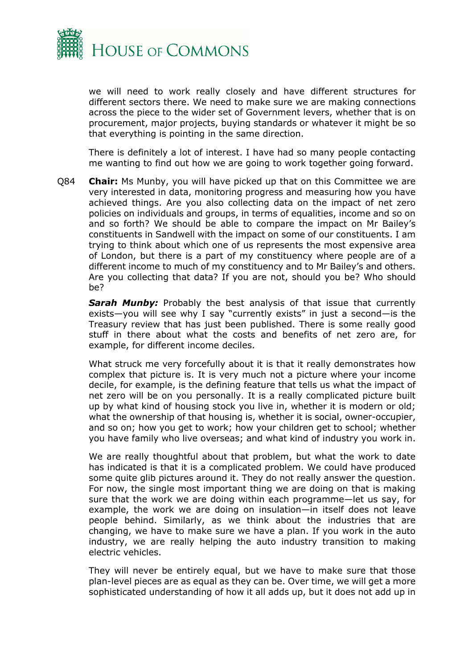

we will need to work really closely and have different structures for different sectors there. We need to make sure we are making connections across the piece to the wider set of Government levers, whether that is on procurement, major projects, buying standards or whatever it might be so that everything is pointing in the same direction.

There is definitely a lot of interest. I have had so many people contacting me wanting to find out how we are going to work together going forward.

Q84 **Chair:** Ms Munby, you will have picked up that on this Committee we are very interested in data, monitoring progress and measuring how you have achieved things. Are you also collecting data on the impact of net zero policies on individuals and groups, in terms of equalities, income and so on and so forth? We should be able to compare the impact on Mr Bailey's constituents in Sandwell with the impact on some of our constituents. I am trying to think about which one of us represents the most expensive area of London, but there is a part of my constituency where people are of a different income to much of my constituency and to Mr Bailey's and others. Are you collecting that data? If you are not, should you be? Who should be?

**Sarah Munby:** Probably the best analysis of that issue that currently exists—you will see why I say "currently exists" in just a second—is the Treasury review that has just been published. There is some really good stuff in there about what the costs and benefits of net zero are, for example, for different income deciles.

What struck me very forcefully about it is that it really demonstrates how complex that picture is. It is very much not a picture where your income decile, for example, is the defining feature that tells us what the impact of net zero will be on you personally. It is a really complicated picture built up by what kind of housing stock you live in, whether it is modern or old; what the ownership of that housing is, whether it is social, owner-occupier, and so on; how you get to work; how your children get to school; whether you have family who live overseas; and what kind of industry you work in.

We are really thoughtful about that problem, but what the work to date has indicated is that it is a complicated problem. We could have produced some quite glib pictures around it. They do not really answer the question. For now, the single most important thing we are doing on that is making sure that the work we are doing within each programme—let us say, for example, the work we are doing on insulation—in itself does not leave people behind. Similarly, as we think about the industries that are changing, we have to make sure we have a plan. If you work in the auto industry, we are really helping the auto industry transition to making electric vehicles.

They will never be entirely equal, but we have to make sure that those plan-level pieces are as equal as they can be. Over time, we will get a more sophisticated understanding of how it all adds up, but it does not add up in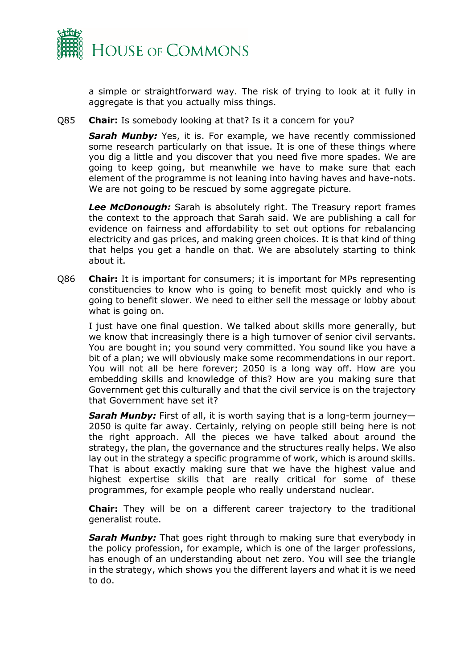

a simple or straightforward way. The risk of trying to look at it fully in aggregate is that you actually miss things.

Q85 **Chair:** Is somebody looking at that? Is it a concern for you?

**Sarah Munby:** Yes, it is. For example, we have recently commissioned some research particularly on that issue. It is one of these things where you dig a little and you discover that you need five more spades. We are going to keep going, but meanwhile we have to make sure that each element of the programme is not leaning into having haves and have-nots. We are not going to be rescued by some aggregate picture.

*Lee McDonough:* Sarah is absolutely right. The Treasury report frames the context to the approach that Sarah said. We are publishing a call for evidence on fairness and affordability to set out options for rebalancing electricity and gas prices, and making green choices. It is that kind of thing that helps you get a handle on that. We are absolutely starting to think about it.

Q86 **Chair:** It is important for consumers; it is important for MPs representing constituencies to know who is going to benefit most quickly and who is going to benefit slower. We need to either sell the message or lobby about what is going on.

I just have one final question. We talked about skills more generally, but we know that increasingly there is a high turnover of senior civil servants. You are bought in; you sound very committed. You sound like you have a bit of a plan; we will obviously make some recommendations in our report. You will not all be here forever; 2050 is a long way off. How are you embedding skills and knowledge of this? How are you making sure that Government get this culturally and that the civil service is on the trajectory that Government have set it?

**Sarah Munby:** First of all, it is worth saying that is a long-term journey-2050 is quite far away. Certainly, relying on people still being here is not the right approach. All the pieces we have talked about around the strategy, the plan, the governance and the structures really helps. We also lay out in the strategy a specific programme of work, which is around skills. That is about exactly making sure that we have the highest value and highest expertise skills that are really critical for some of these programmes, for example people who really understand nuclear.

**Chair:** They will be on a different career trajectory to the traditional generalist route.

*Sarah Munby:* That goes right through to making sure that everybody in the policy profession, for example, which is one of the larger professions, has enough of an understanding about net zero. You will see the triangle in the strategy, which shows you the different layers and what it is we need to do.